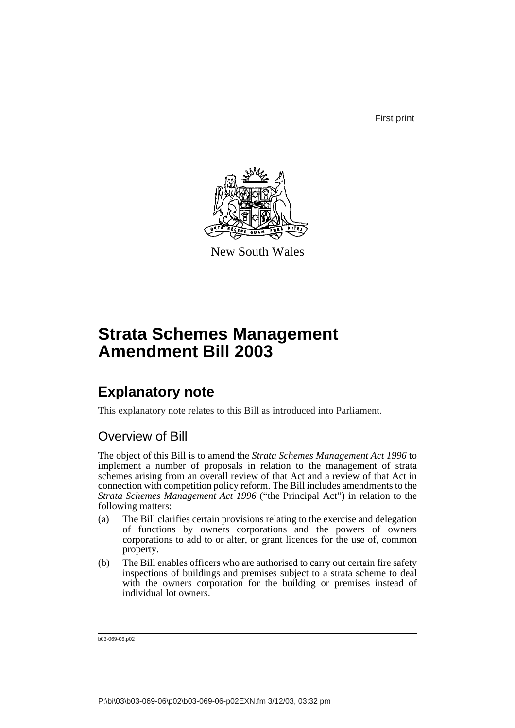First print



New South Wales

# **Strata Schemes Management Amendment Bill 2003**

## **Explanatory note**

This explanatory note relates to this Bill as introduced into Parliament.

## Overview of Bill

The object of this Bill is to amend the *Strata Schemes Management Act 1996* to implement a number of proposals in relation to the management of strata schemes arising from an overall review of that Act and a review of that Act in connection with competition policy reform. The Bill includes amendments to the *Strata Schemes Management Act 1996* ("the Principal Act") in relation to the following matters:

- (a) The Bill clarifies certain provisions relating to the exercise and delegation of functions by owners corporations and the powers of owners corporations to add to or alter, or grant licences for the use of, common property.
- (b) The Bill enables officers who are authorised to carry out certain fire safety inspections of buildings and premises subject to a strata scheme to deal with the owners corporation for the building or premises instead of individual lot owners.

b03-069-06.p02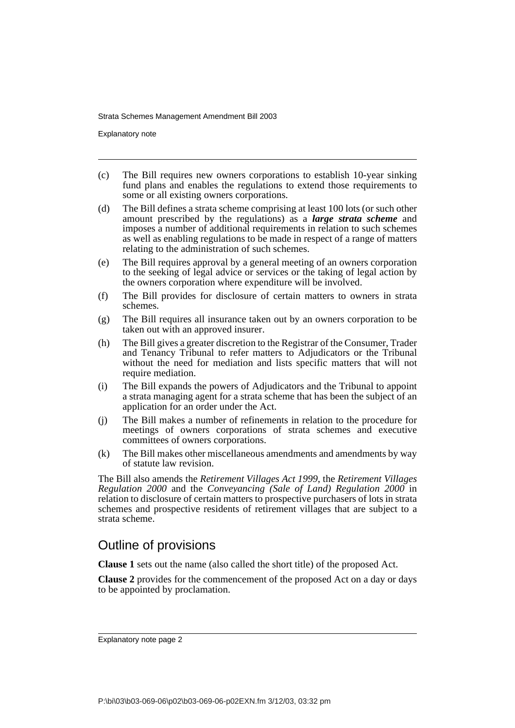Explanatory note

- (c) The Bill requires new owners corporations to establish 10-year sinking fund plans and enables the regulations to extend those requirements to some or all existing owners corporations.
- (d) The Bill defines a strata scheme comprising at least 100 lots (or such other amount prescribed by the regulations) as a *large strata scheme* and imposes a number of additional requirements in relation to such schemes as well as enabling regulations to be made in respect of a range of matters relating to the administration of such schemes.
- (e) The Bill requires approval by a general meeting of an owners corporation to the seeking of legal advice or services or the taking of legal action by the owners corporation where expenditure will be involved.
- (f) The Bill provides for disclosure of certain matters to owners in strata schemes.
- (g) The Bill requires all insurance taken out by an owners corporation to be taken out with an approved insurer.
- (h) The Bill gives a greater discretion to the Registrar of the Consumer, Trader and Tenancy Tribunal to refer matters to Adjudicators or the Tribunal without the need for mediation and lists specific matters that will not require mediation.
- (i) The Bill expands the powers of Adjudicators and the Tribunal to appoint a strata managing agent for a strata scheme that has been the subject of an application for an order under the Act.
- (j) The Bill makes a number of refinements in relation to the procedure for meetings of owners corporations of strata schemes and executive committees of owners corporations.
- (k) The Bill makes other miscellaneous amendments and amendments by way of statute law revision.

The Bill also amends the *Retirement Villages Act 1999*, the *Retirement Villages Regulation 2000* and the *Conveyancing (Sale of Land) Regulation 2000* in relation to disclosure of certain matters to prospective purchasers of lots in strata schemes and prospective residents of retirement villages that are subject to a strata scheme.

## Outline of provisions

**Clause 1** sets out the name (also called the short title) of the proposed Act.

**Clause 2** provides for the commencement of the proposed Act on a day or days to be appointed by proclamation.

Explanatory note page 2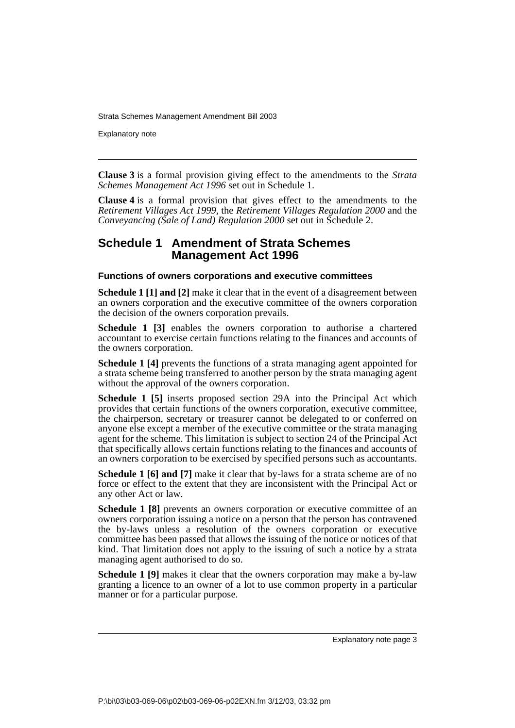Explanatory note

**Clause 3** is a formal provision giving effect to the amendments to the *Strata Schemes Management Act 1996* set out in Schedule 1.

**Clause 4** is a formal provision that gives effect to the amendments to the *Retirement Villages Act 1999*, the *Retirement Villages Regulation 2000* and the *Conveyancing (Sale of Land) Regulation 2000* set out in Schedule 2.

### **Schedule 1 Amendment of Strata Schemes Management Act 1996**

#### **Functions of owners corporations and executive committees**

**Schedule 1 [1] and [2]** make it clear that in the event of a disagreement between an owners corporation and the executive committee of the owners corporation the decision of the owners corporation prevails.

**Schedule 1 [3]** enables the owners corporation to authorise a chartered accountant to exercise certain functions relating to the finances and accounts of the owners corporation.

**Schedule 1 [4]** prevents the functions of a strata managing agent appointed for a strata scheme being transferred to another person by the strata managing agent without the approval of the owners corporation.

**Schedule 1 [5]** inserts proposed section 29A into the Principal Act which provides that certain functions of the owners corporation, executive committee, the chairperson, secretary or treasurer cannot be delegated to or conferred on anyone else except a member of the executive committee or the strata managing agent for the scheme. This limitation is subject to section 24 of the Principal Act that specifically allows certain functions relating to the finances and accounts of an owners corporation to be exercised by specified persons such as accountants.

**Schedule 1 [6] and [7]** make it clear that by-laws for a strata scheme are of no force or effect to the extent that they are inconsistent with the Principal Act or any other Act or law.

**Schedule 1 [8]** prevents an owners corporation or executive committee of an owners corporation issuing a notice on a person that the person has contravened the by-laws unless a resolution of the owners corporation or executive committee has been passed that allows the issuing of the notice or notices of that kind. That limitation does not apply to the issuing of such a notice by a strata managing agent authorised to do so.

**Schedule 1 [9]** makes it clear that the owners corporation may make a by-law granting a licence to an owner of a lot to use common property in a particular manner or for a particular purpose.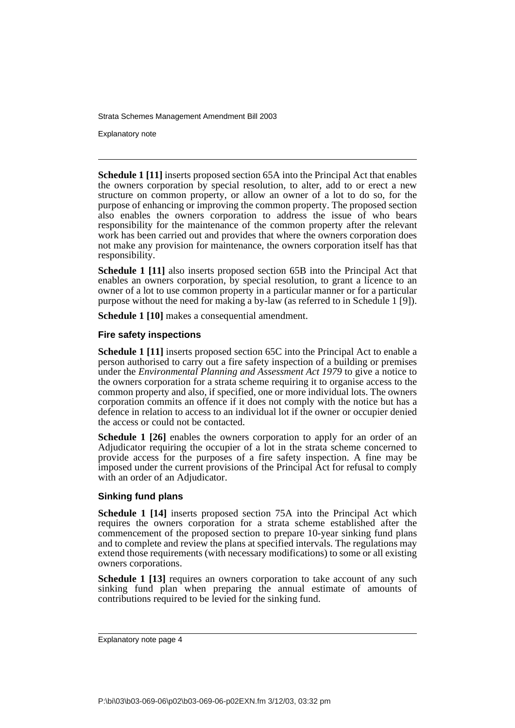Explanatory note

**Schedule 1 [11]** inserts proposed section 65A into the Principal Act that enables the owners corporation by special resolution, to alter, add to or erect a new structure on common property, or allow an owner of a lot to do so, for the purpose of enhancing or improving the common property. The proposed section also enables the owners corporation to address the issue of who bears responsibility for the maintenance of the common property after the relevant work has been carried out and provides that where the owners corporation does not make any provision for maintenance, the owners corporation itself has that responsibility.

**Schedule 1 [11]** also inserts proposed section 65B into the Principal Act that enables an owners corporation, by special resolution, to grant a licence to an owner of a lot to use common property in a particular manner or for a particular purpose without the need for making a by-law (as referred to in Schedule 1 [9]).

**Schedule 1 [10]** makes a consequential amendment.

#### **Fire safety inspections**

**Schedule 1 [11]** inserts proposed section 65C into the Principal Act to enable a person authorised to carry out a fire safety inspection of a building or premises under the *Environmental Planning and Assessment Act 1979* to give a notice to the owners corporation for a strata scheme requiring it to organise access to the common property and also, if specified, one or more individual lots. The owners corporation commits an offence if it does not comply with the notice but has a defence in relation to access to an individual lot if the owner or occupier denied the access or could not be contacted.

**Schedule 1 [26]** enables the owners corporation to apply for an order of an Adjudicator requiring the occupier of a lot in the strata scheme concerned to provide access for the purposes of a fire safety inspection. A fine may be imposed under the current provisions of the Principal Act for refusal to comply with an order of an Adjudicator.

#### **Sinking fund plans**

**Schedule 1 [14]** inserts proposed section 75A into the Principal Act which requires the owners corporation for a strata scheme established after the commencement of the proposed section to prepare 10-year sinking fund plans and to complete and review the plans at specified intervals. The regulations may extend those requirements (with necessary modifications) to some or all existing owners corporations.

**Schedule 1 [13]** requires an owners corporation to take account of any such sinking fund plan when preparing the annual estimate of amounts of contributions required to be levied for the sinking fund.

Explanatory note page 4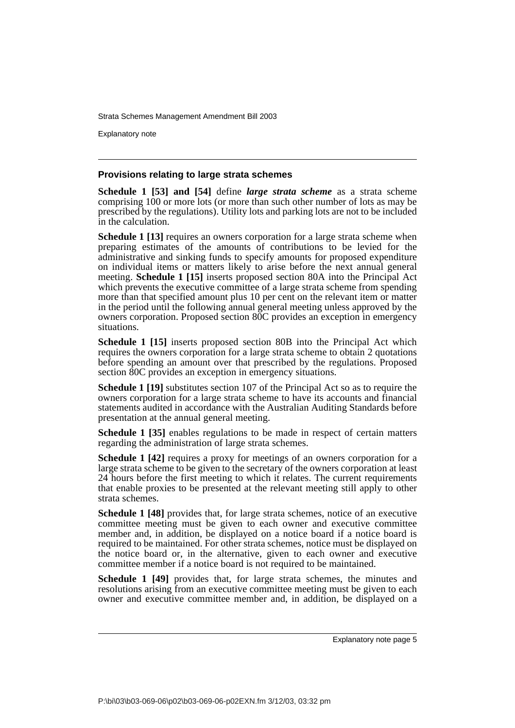Explanatory note

#### **Provisions relating to large strata schemes**

**Schedule 1 [53] and [54]** define *large strata scheme* as a strata scheme comprising 100 or more lots (or more than such other number of lots as may be prescribed by the regulations). Utility lots and parking lots are not to be included in the calculation.

**Schedule 1 [13]** requires an owners corporation for a large strata scheme when preparing estimates of the amounts of contributions to be levied for the administrative and sinking funds to specify amounts for proposed expenditure on individual items or matters likely to arise before the next annual general meeting. **Schedule 1 [15]** inserts proposed section 80A into the Principal Act which prevents the executive committee of a large strata scheme from spending more than that specified amount plus 10 per cent on the relevant item or matter in the period until the following annual general meeting unless approved by the owners corporation. Proposed section 80C provides an exception in emergency situations.

**Schedule 1 [15]** inserts proposed section 80B into the Principal Act which requires the owners corporation for a large strata scheme to obtain 2 quotations before spending an amount over that prescribed by the regulations. Proposed section 80C provides an exception in emergency situations.

**Schedule 1 [19]** substitutes section 107 of the Principal Act so as to require the owners corporation for a large strata scheme to have its accounts and financial statements audited in accordance with the Australian Auditing Standards before presentation at the annual general meeting.

**Schedule 1 [35]** enables regulations to be made in respect of certain matters regarding the administration of large strata schemes.

**Schedule 1 [42]** requires a proxy for meetings of an owners corporation for a large strata scheme to be given to the secretary of the owners corporation at least 24 hours before the first meeting to which it relates. The current requirements that enable proxies to be presented at the relevant meeting still apply to other strata schemes.

**Schedule 1 [48]** provides that, for large strata schemes, notice of an executive committee meeting must be given to each owner and executive committee member and, in addition, be displayed on a notice board if a notice board is required to be maintained. For other strata schemes, notice must be displayed on the notice board or, in the alternative, given to each owner and executive committee member if a notice board is not required to be maintained.

**Schedule 1 [49]** provides that, for large strata schemes, the minutes and resolutions arising from an executive committee meeting must be given to each owner and executive committee member and, in addition, be displayed on a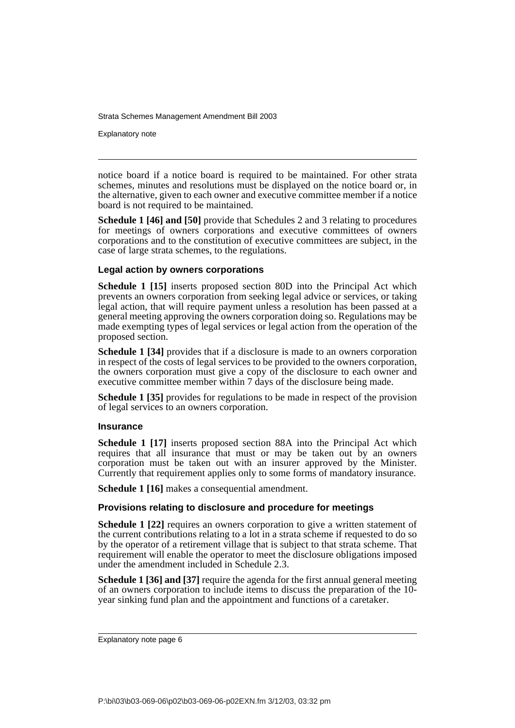Explanatory note

notice board if a notice board is required to be maintained. For other strata schemes, minutes and resolutions must be displayed on the notice board or, in the alternative, given to each owner and executive committee member if a notice board is not required to be maintained.

**Schedule 1 [46] and [50]** provide that Schedules 2 and 3 relating to procedures for meetings of owners corporations and executive committees of owners corporations and to the constitution of executive committees are subject, in the case of large strata schemes, to the regulations.

#### **Legal action by owners corporations**

**Schedule 1 [15]** inserts proposed section 80D into the Principal Act which prevents an owners corporation from seeking legal advice or services, or taking legal action, that will require payment unless a resolution has been passed at a general meeting approving the owners corporation doing so. Regulations may be made exempting types of legal services or legal action from the operation of the proposed section.

**Schedule 1 [34]** provides that if a disclosure is made to an owners corporation in respect of the costs of legal services to be provided to the owners corporation, the owners corporation must give a copy of the disclosure to each owner and executive committee member within 7 days of the disclosure being made.

**Schedule 1 [35]** provides for regulations to be made in respect of the provision of legal services to an owners corporation.

#### **Insurance**

**Schedule 1 [17]** inserts proposed section 88A into the Principal Act which requires that all insurance that must or may be taken out by an owners corporation must be taken out with an insurer approved by the Minister. Currently that requirement applies only to some forms of mandatory insurance.

**Schedule 1 [16]** makes a consequential amendment.

#### **Provisions relating to disclosure and procedure for meetings**

**Schedule 1 [22]** requires an owners corporation to give a written statement of the current contributions relating to a lot in a strata scheme if requested to do so by the operator of a retirement village that is subject to that strata scheme. That requirement will enable the operator to meet the disclosure obligations imposed under the amendment included in Schedule 2.3.

**Schedule 1 [36] and [37]** require the agenda for the first annual general meeting of an owners corporation to include items to discuss the preparation of the 10 year sinking fund plan and the appointment and functions of a caretaker.

Explanatory note page 6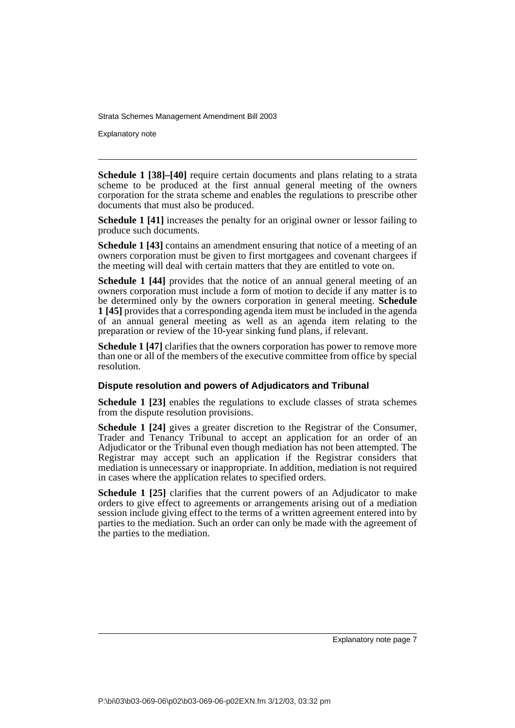Explanatory note

**Schedule 1 [38]–[40]** require certain documents and plans relating to a strata scheme to be produced at the first annual general meeting of the owners corporation for the strata scheme and enables the regulations to prescribe other documents that must also be produced.

**Schedule 1 [41]** increases the penalty for an original owner or lessor failing to produce such documents.

**Schedule 1 [43]** contains an amendment ensuring that notice of a meeting of an owners corporation must be given to first mortgagees and covenant chargees if the meeting will deal with certain matters that they are entitled to vote on.

**Schedule 1 [44]** provides that the notice of an annual general meeting of an owners corporation must include a form of motion to decide if any matter is to be determined only by the owners corporation in general meeting. **Schedule 1 [45]** provides that a corresponding agenda item must be included in the agenda of an annual general meeting as well as an agenda item relating to the preparation or review of the 10-year sinking fund plans, if relevant.

**Schedule 1 [47]** clarifies that the owners corporation has power to remove more than one or all of the members of the executive committee from office by special resolution.

#### **Dispute resolution and powers of Adjudicators and Tribunal**

**Schedule 1 [23]** enables the regulations to exclude classes of strata schemes from the dispute resolution provisions.

**Schedule 1 [24]** gives a greater discretion to the Registrar of the Consumer, Trader and Tenancy Tribunal to accept an application for an order of an Adjudicator or the Tribunal even though mediation has not been attempted. The Registrar may accept such an application if the Registrar considers that mediation is unnecessary or inappropriate. In addition, mediation is not required in cases where the application relates to specified orders.

**Schedule 1 [25]** clarifies that the current powers of an Adjudicator to make orders to give effect to agreements or arrangements arising out of a mediation session include giving effect to the terms of a written agreement entered into by parties to the mediation. Such an order can only be made with the agreement of the parties to the mediation.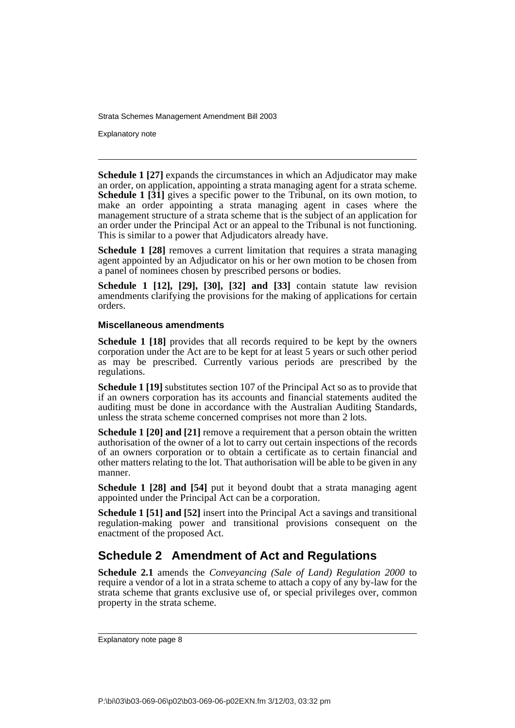Explanatory note

**Schedule 1 [27]** expands the circumstances in which an Adjudicator may make an order, on application, appointing a strata managing agent for a strata scheme. **Schedule 1** [31] gives a specific power to the Tribunal, on its own motion, to make an order appointing a strata managing agent in cases where the management structure of a strata scheme that is the subject of an application for an order under the Principal Act or an appeal to the Tribunal is not functioning. This is similar to a power that Adjudicators already have.

**Schedule 1 [28]** removes a current limitation that requires a strata managing agent appointed by an Adjudicator on his or her own motion to be chosen from a panel of nominees chosen by prescribed persons or bodies.

**Schedule 1 [12], [29], [30], [32] and [33]** contain statute law revision amendments clarifying the provisions for the making of applications for certain orders.

#### **Miscellaneous amendments**

**Schedule 1 [18]** provides that all records required to be kept by the owners corporation under the Act are to be kept for at least 5 years or such other period as may be prescribed. Currently various periods are prescribed by the regulations.

**Schedule 1 [19]** substitutes section 107 of the Principal Act so as to provide that if an owners corporation has its accounts and financial statements audited the auditing must be done in accordance with the Australian Auditing Standards, unless the strata scheme concerned comprises not more than 2 lots.

**Schedule 1 [20] and [21]** remove a requirement that a person obtain the written authorisation of the owner of a lot to carry out certain inspections of the records of an owners corporation or to obtain a certificate as to certain financial and other matters relating to the lot. That authorisation will be able to be given in any manner.

**Schedule 1 [28] and [54]** put it beyond doubt that a strata managing agent appointed under the Principal Act can be a corporation.

**Schedule 1 [51] and [52]** insert into the Principal Act a savings and transitional regulation-making power and transitional provisions consequent on the enactment of the proposed Act.

### **Schedule 2 Amendment of Act and Regulations**

**Schedule 2.1** amends the *Conveyancing (Sale of Land) Regulation 2000* to require a vendor of a lot in a strata scheme to attach a copy of any by-law for the strata scheme that grants exclusive use of, or special privileges over, common property in the strata scheme.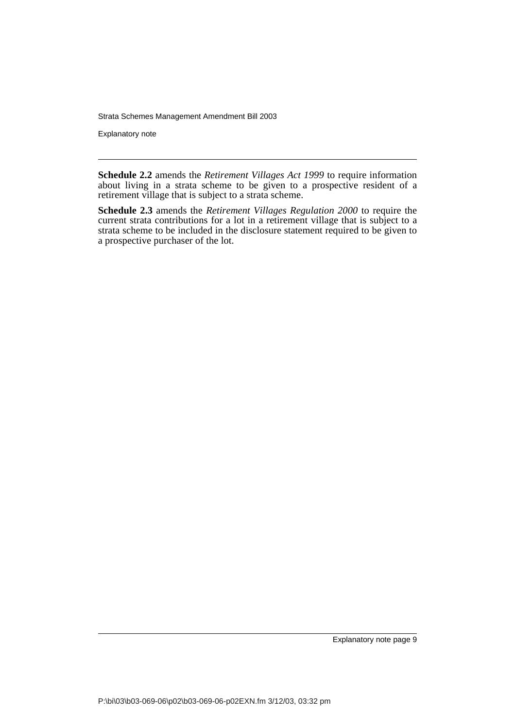Explanatory note

**Schedule 2.2** amends the *Retirement Villages Act 1999* to require information about living in a strata scheme to be given to a prospective resident of a retirement village that is subject to a strata scheme.

**Schedule 2.3** amends the *Retirement Villages Regulation 2000* to require the current strata contributions for a lot in a retirement village that is subject to a strata scheme to be included in the disclosure statement required to be given to a prospective purchaser of the lot.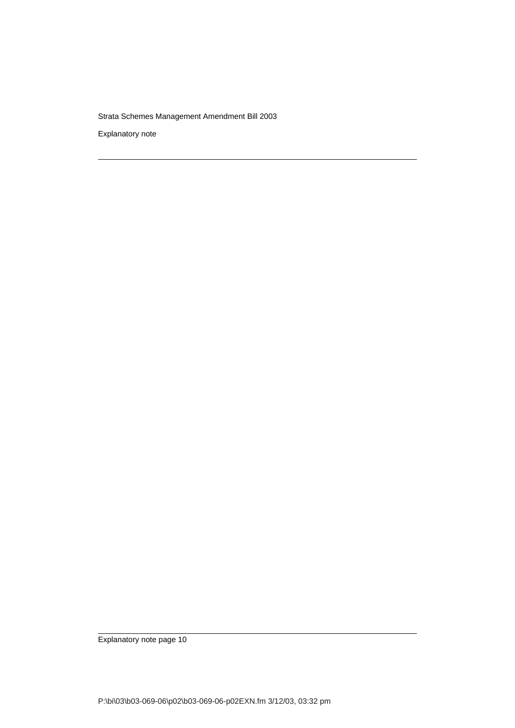Explanatory note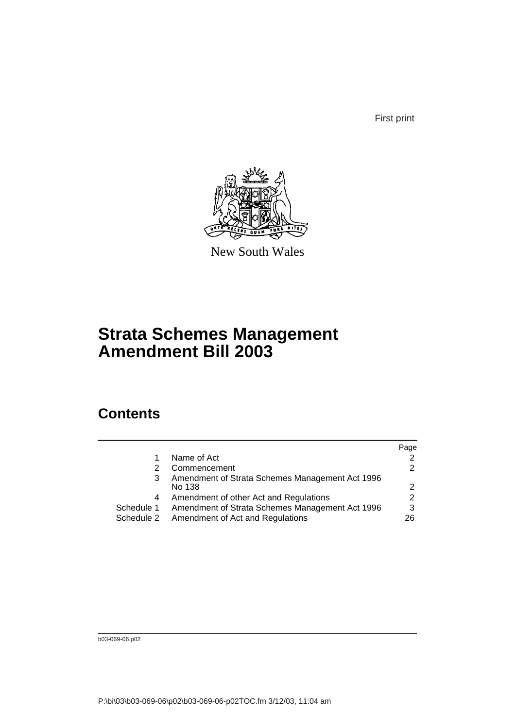First print



New South Wales

# **Strata Schemes Management Amendment Bill 2003**

## **Contents**

|            |                                                 | Page          |
|------------|-------------------------------------------------|---------------|
|            | Name of Act                                     | $\mathcal{P}$ |
|            | Commencement                                    | $\mathcal{P}$ |
| 3          | Amendment of Strata Schemes Management Act 1996 |               |
|            | No 138                                          | $\mathcal{P}$ |
| 4          | Amendment of other Act and Regulations          | 2             |
| Schedule 1 | Amendment of Strata Schemes Management Act 1996 | 3             |
| Schedule 2 | Amendment of Act and Regulations                | 26            |
|            |                                                 |               |

b03-069-06.p02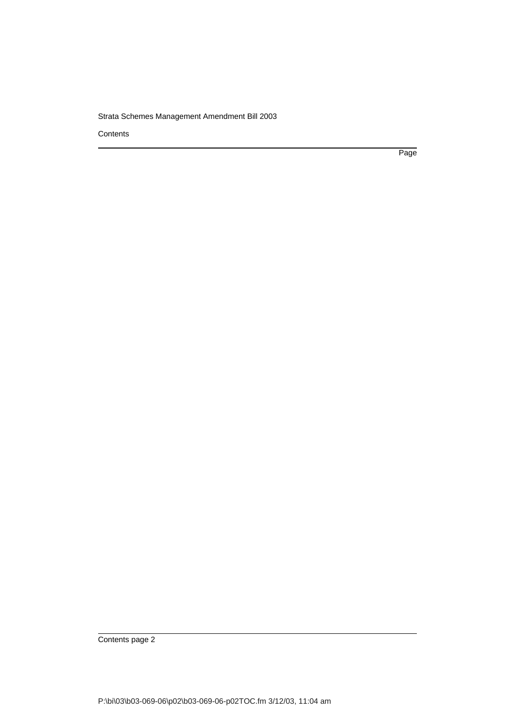**Contents** 

Page

Contents page 2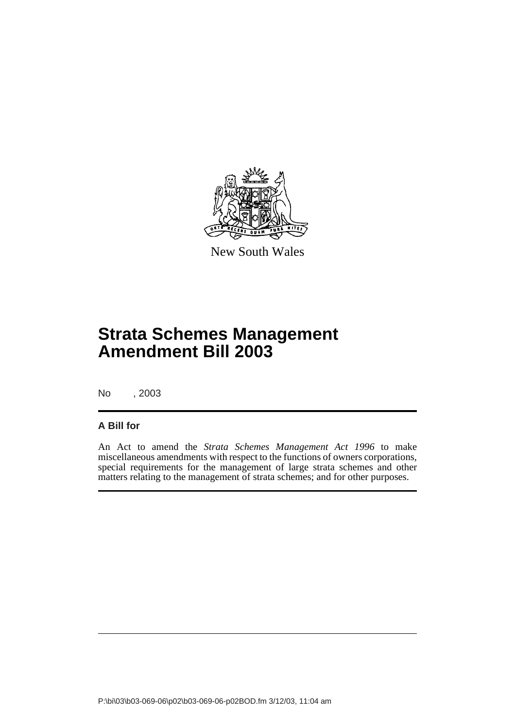

New South Wales

# **Strata Schemes Management Amendment Bill 2003**

No , 2003

### **A Bill for**

An Act to amend the *Strata Schemes Management Act 1996* to make miscellaneous amendments with respect to the functions of owners corporations, special requirements for the management of large strata schemes and other matters relating to the management of strata schemes; and for other purposes.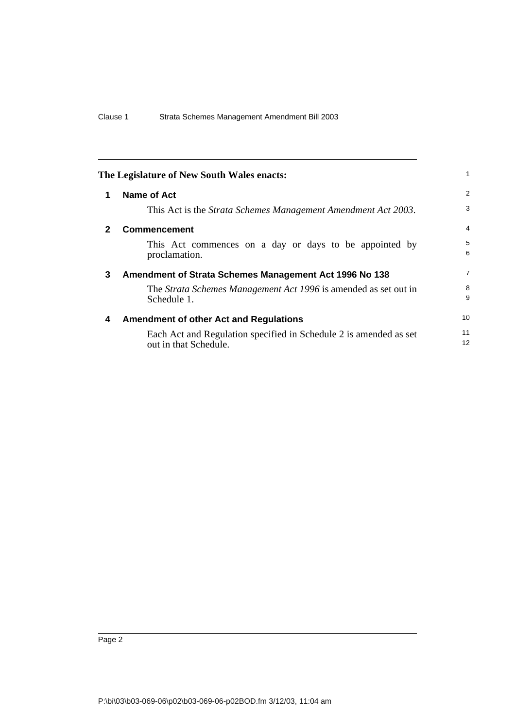|   | The Legislature of New South Wales enacts:                                                 | 1               |
|---|--------------------------------------------------------------------------------------------|-----------------|
| 1 | Name of Act                                                                                | 2               |
|   | This Act is the <i>Strata Schemes Management Amendment Act 2003</i> .                      | 3               |
| 2 | <b>Commencement</b>                                                                        | 4               |
|   | This Act commences on a day or days to be appointed by<br>proclamation.                    | 5<br>6          |
| 3 | Amendment of Strata Schemes Management Act 1996 No 138                                     | $\overline{7}$  |
|   | The <i>Strata Schemes Management Act 1996</i> is amended as set out in<br>Schedule 1.      | 8<br>9          |
| 4 | <b>Amendment of other Act and Regulations</b>                                              | 10 <sup>1</sup> |
|   | Each Act and Regulation specified in Schedule 2 is amended as set<br>out in that Schedule. | 11<br>12        |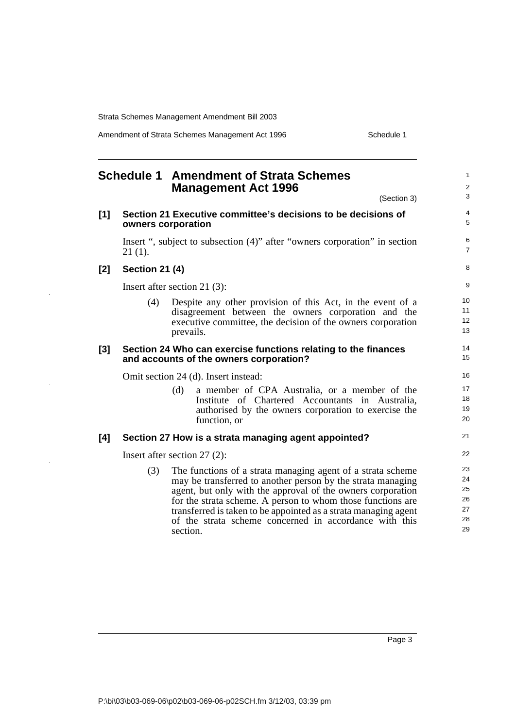Amendment of Strata Schemes Management Act 1996 Schedule 1

|       |                       | <b>Schedule 1 Amendment of Strata Schemes</b><br><b>Management Act 1996</b>                                                                                                                                                                                                                                                                                                                       | 1<br>$\overline{\mathbf{c}}$<br>3      |
|-------|-----------------------|---------------------------------------------------------------------------------------------------------------------------------------------------------------------------------------------------------------------------------------------------------------------------------------------------------------------------------------------------------------------------------------------------|----------------------------------------|
|       |                       | (Section 3)                                                                                                                                                                                                                                                                                                                                                                                       |                                        |
| $[1]$ |                       | Section 21 Executive committee's decisions to be decisions of<br>owners corporation                                                                                                                                                                                                                                                                                                               | 4<br>5                                 |
|       | $21(1)$ .             | Insert ", subject to subsection (4)" after "owners corporation" in section                                                                                                                                                                                                                                                                                                                        | 6<br>7                                 |
| [2]   | <b>Section 21 (4)</b> |                                                                                                                                                                                                                                                                                                                                                                                                   | 8                                      |
|       |                       | Insert after section 21 $(3)$ :                                                                                                                                                                                                                                                                                                                                                                   | 9                                      |
|       | (4)                   | Despite any other provision of this Act, in the event of a<br>disagreement between the owners corporation and the<br>executive committee, the decision of the owners corporation<br>prevails.                                                                                                                                                                                                     | 10<br>11<br>12<br>13                   |
| [3]   |                       | Section 24 Who can exercise functions relating to the finances<br>and accounts of the owners corporation?                                                                                                                                                                                                                                                                                         | 14<br>15                               |
|       |                       | Omit section 24 (d). Insert instead:                                                                                                                                                                                                                                                                                                                                                              | 16                                     |
|       |                       | (d)<br>a member of CPA Australia, or a member of the<br>Institute of Chartered Accountants in Australia,<br>authorised by the owners corporation to exercise the<br>function, or                                                                                                                                                                                                                  | 17<br>18<br>19<br>20                   |
| [4]   |                       | Section 27 How is a strata managing agent appointed?                                                                                                                                                                                                                                                                                                                                              | 21                                     |
|       |                       | Insert after section $27(2)$ :                                                                                                                                                                                                                                                                                                                                                                    | 22                                     |
|       | (3)                   | The functions of a strata managing agent of a strata scheme<br>may be transferred to another person by the strata managing<br>agent, but only with the approval of the owners corporation<br>for the strata scheme. A person to whom those functions are<br>transferred is taken to be appointed as a strata managing agent<br>of the strata scheme concerned in accordance with this<br>section. | 23<br>24<br>25<br>26<br>27<br>28<br>29 |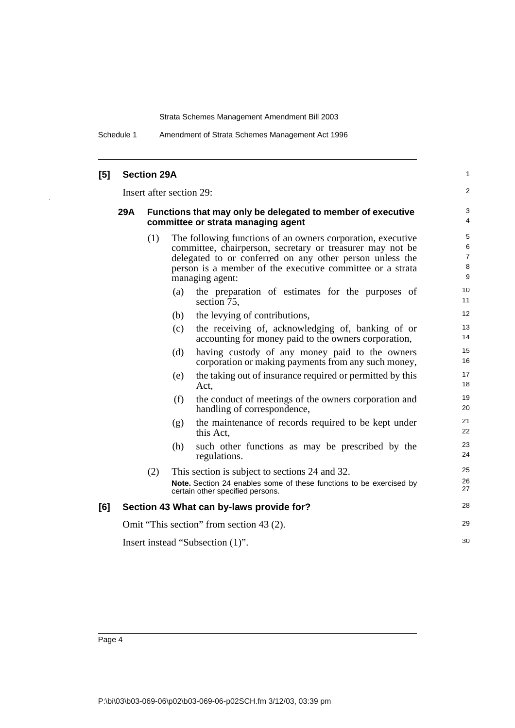Schedule 1 Amendment of Strata Schemes Management Act 1996

| [5] | <b>Section 29A</b>                                                                          |                                                                                                   |     |                                                                                                                                                                                                                                                                      |                |  |  |  |  |
|-----|---------------------------------------------------------------------------------------------|---------------------------------------------------------------------------------------------------|-----|----------------------------------------------------------------------------------------------------------------------------------------------------------------------------------------------------------------------------------------------------------------------|----------------|--|--|--|--|
|     | Insert after section 29:                                                                    |                                                                                                   |     |                                                                                                                                                                                                                                                                      |                |  |  |  |  |
|     | 29A                                                                                         | Functions that may only be delegated to member of executive<br>committee or strata managing agent |     |                                                                                                                                                                                                                                                                      |                |  |  |  |  |
|     |                                                                                             | (1)                                                                                               |     | The following functions of an owners corporation, executive<br>committee, chairperson, secretary or treasurer may not be<br>delegated to or conferred on any other person unless the<br>person is a member of the executive committee or a strata<br>managing agent: |                |  |  |  |  |
|     |                                                                                             |                                                                                                   | (a) | the preparation of estimates for the purposes of<br>section 75,                                                                                                                                                                                                      | 10<br>11       |  |  |  |  |
|     |                                                                                             |                                                                                                   | (b) | the levying of contributions,                                                                                                                                                                                                                                        | 12             |  |  |  |  |
|     |                                                                                             |                                                                                                   | (c) | the receiving of, acknowledging of, banking of or<br>accounting for money paid to the owners corporation,                                                                                                                                                            | 13<br>14       |  |  |  |  |
|     |                                                                                             |                                                                                                   | (d) | having custody of any money paid to the owners<br>corporation or making payments from any such money,                                                                                                                                                                | 15<br>16       |  |  |  |  |
|     |                                                                                             |                                                                                                   | (e) | the taking out of insurance required or permitted by this<br>Act,                                                                                                                                                                                                    | 17<br>18       |  |  |  |  |
|     | (f)<br>the conduct of meetings of the owners corporation and<br>handling of correspondence, |                                                                                                   |     |                                                                                                                                                                                                                                                                      | 19<br>20       |  |  |  |  |
|     |                                                                                             |                                                                                                   | (g) | the maintenance of records required to be kept under<br>this Act,                                                                                                                                                                                                    | 21<br>22       |  |  |  |  |
|     | (h)<br>such other functions as may be prescribed by the<br>regulations.                     |                                                                                                   |     |                                                                                                                                                                                                                                                                      | 23<br>24       |  |  |  |  |
|     |                                                                                             | (2)                                                                                               |     | This section is subject to sections 24 and 32.<br>Note. Section 24 enables some of these functions to be exercised by<br>certain other specified persons.                                                                                                            | 25<br>26<br>27 |  |  |  |  |
| [6] |                                                                                             |                                                                                                   |     | Section 43 What can by-laws provide for?                                                                                                                                                                                                                             | 28             |  |  |  |  |
|     |                                                                                             |                                                                                                   |     | Omit "This section" from section 43 (2).                                                                                                                                                                                                                             | 29             |  |  |  |  |
|     | Insert instead "Subsection (1)".                                                            |                                                                                                   |     |                                                                                                                                                                                                                                                                      |                |  |  |  |  |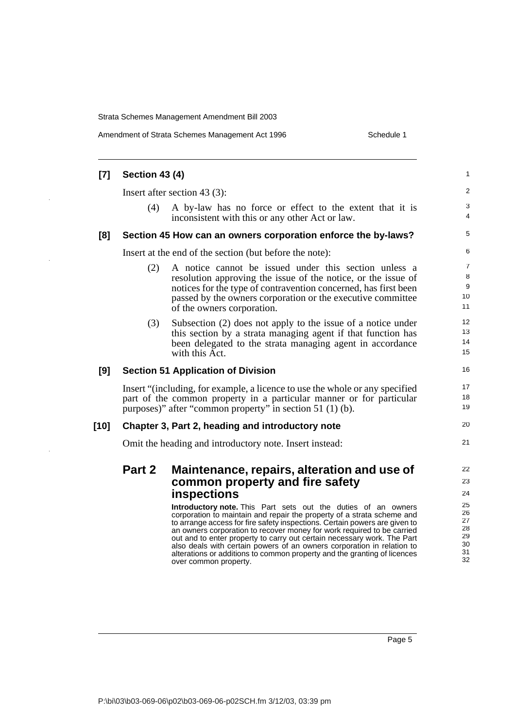Amendment of Strata Schemes Management Act 1996 Schedule 1

| [7]    | <b>Section 43 (4)</b> |                                                                                                                                                                                                                                                                                                                                                                                                                                                                                                                                                                  | 1                                            |
|--------|-----------------------|------------------------------------------------------------------------------------------------------------------------------------------------------------------------------------------------------------------------------------------------------------------------------------------------------------------------------------------------------------------------------------------------------------------------------------------------------------------------------------------------------------------------------------------------------------------|----------------------------------------------|
|        |                       | Insert after section 43 $(3)$ :                                                                                                                                                                                                                                                                                                                                                                                                                                                                                                                                  | $\overline{\mathbf{c}}$                      |
|        | (4)                   | A by-law has no force or effect to the extent that it is<br>inconsistent with this or any other Act or law.                                                                                                                                                                                                                                                                                                                                                                                                                                                      | 3<br>4                                       |
| [8]    |                       | Section 45 How can an owners corporation enforce the by-laws?                                                                                                                                                                                                                                                                                                                                                                                                                                                                                                    | 5                                            |
|        |                       | Insert at the end of the section (but before the note):                                                                                                                                                                                                                                                                                                                                                                                                                                                                                                          | 6                                            |
|        | (2)                   | A notice cannot be issued under this section unless a<br>resolution approving the issue of the notice, or the issue of<br>notices for the type of contravention concerned, has first been<br>passed by the owners corporation or the executive committee<br>of the owners corporation.                                                                                                                                                                                                                                                                           | 7<br>8<br>9<br>10<br>11                      |
|        | (3)                   | Subsection (2) does not apply to the issue of a notice under<br>this section by a strata managing agent if that function has<br>been delegated to the strata managing agent in accordance<br>with this Act.                                                                                                                                                                                                                                                                                                                                                      | 12<br>13<br>14<br>15                         |
| [9]    |                       | <b>Section 51 Application of Division</b>                                                                                                                                                                                                                                                                                                                                                                                                                                                                                                                        | 16                                           |
|        |                       | Insert "(including, for example, a licence to use the whole or any specified<br>part of the common property in a particular manner or for particular<br>purposes)" after "common property" in section 51 (1) (b).                                                                                                                                                                                                                                                                                                                                                | 17<br>18<br>19                               |
| $[10]$ |                       | Chapter 3, Part 2, heading and introductory note                                                                                                                                                                                                                                                                                                                                                                                                                                                                                                                 | 20                                           |
|        |                       | Omit the heading and introductory note. Insert instead:                                                                                                                                                                                                                                                                                                                                                                                                                                                                                                          | 21                                           |
|        | Part 2                | Maintenance, repairs, alteration and use of<br>common property and fire safety<br>inspections                                                                                                                                                                                                                                                                                                                                                                                                                                                                    | 22<br>23<br>24                               |
|        |                       | <b>Introductory note.</b> This Part sets out the duties of an owners<br>corporation to maintain and repair the property of a strata scheme and<br>to arrange access for fire safety inspections. Certain powers are given to<br>an owners corporation to recover money for work required to be carried<br>out and to enter property to carry out certain necessary work. The Part<br>also deals with certain powers of an owners corporation in relation to<br>alterations or additions to common property and the granting of licences<br>over common property. | 25<br>26<br>27<br>28<br>29<br>30<br>31<br>32 |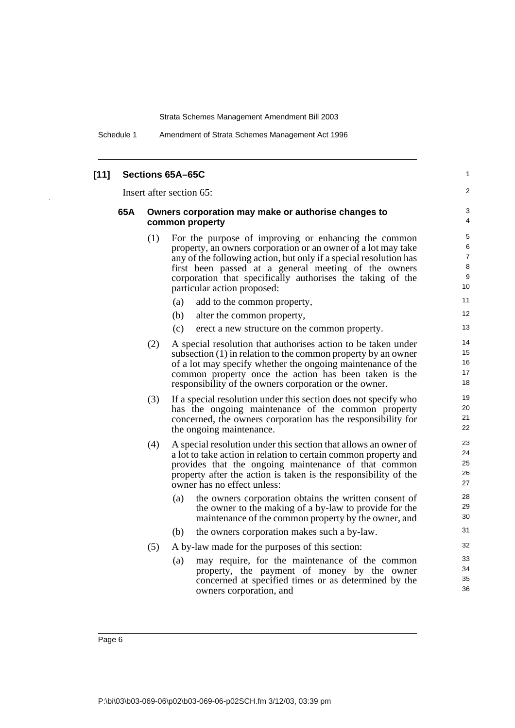Schedule 1 Amendment of Strata Schemes Management Act 1996

| [11]                                                                                                                                                                                                                                                                                                                      |                                                                                                                                                                                                                                                                                                     | Sections 65A-65C                                                                                                                                                                                                                                                                                                                                | 1                                        |  |  |
|---------------------------------------------------------------------------------------------------------------------------------------------------------------------------------------------------------------------------------------------------------------------------------------------------------------------------|-----------------------------------------------------------------------------------------------------------------------------------------------------------------------------------------------------------------------------------------------------------------------------------------------------|-------------------------------------------------------------------------------------------------------------------------------------------------------------------------------------------------------------------------------------------------------------------------------------------------------------------------------------------------|------------------------------------------|--|--|
|                                                                                                                                                                                                                                                                                                                           |                                                                                                                                                                                                                                                                                                     | Insert after section 65:                                                                                                                                                                                                                                                                                                                        | 2                                        |  |  |
| 65A                                                                                                                                                                                                                                                                                                                       | Owners corporation may make or authorise changes to<br>common property                                                                                                                                                                                                                              |                                                                                                                                                                                                                                                                                                                                                 |                                          |  |  |
|                                                                                                                                                                                                                                                                                                                           | (1)                                                                                                                                                                                                                                                                                                 | For the purpose of improving or enhancing the common<br>property, an owners corporation or an owner of a lot may take<br>any of the following action, but only if a special resolution has<br>first been passed at a general meeting of the owners<br>corporation that specifically authorises the taking of the<br>particular action proposed: | 5<br>6<br>$\overline{7}$<br>8<br>9<br>10 |  |  |
|                                                                                                                                                                                                                                                                                                                           |                                                                                                                                                                                                                                                                                                     | (a)<br>add to the common property,                                                                                                                                                                                                                                                                                                              | 11                                       |  |  |
|                                                                                                                                                                                                                                                                                                                           |                                                                                                                                                                                                                                                                                                     | (b)<br>alter the common property,                                                                                                                                                                                                                                                                                                               | 12                                       |  |  |
|                                                                                                                                                                                                                                                                                                                           |                                                                                                                                                                                                                                                                                                     | (c)<br>erect a new structure on the common property.                                                                                                                                                                                                                                                                                            | 13                                       |  |  |
| (2)<br>A special resolution that authorises action to be taken under<br>subsection $(1)$ in relation to the common property by an owner<br>of a lot may specify whether the ongoing maintenance of the<br>common property once the action has been taken is the<br>responsibility of the owners corporation or the owner. |                                                                                                                                                                                                                                                                                                     | 14<br>15<br>16<br>17<br>18                                                                                                                                                                                                                                                                                                                      |                                          |  |  |
|                                                                                                                                                                                                                                                                                                                           | (3)<br>If a special resolution under this section does not specify who<br>has the ongoing maintenance of the common property<br>concerned, the owners corporation has the responsibility for<br>the ongoing maintenance.                                                                            |                                                                                                                                                                                                                                                                                                                                                 | 19<br>20<br>21<br>22                     |  |  |
|                                                                                                                                                                                                                                                                                                                           | (4)<br>A special resolution under this section that allows an owner of<br>a lot to take action in relation to certain common property and<br>provides that the ongoing maintenance of that common<br>property after the action is taken is the responsibility of the<br>owner has no effect unless: |                                                                                                                                                                                                                                                                                                                                                 | 23<br>24<br>25<br>26<br>27               |  |  |
|                                                                                                                                                                                                                                                                                                                           |                                                                                                                                                                                                                                                                                                     | the owners corporation obtains the written consent of<br>(a)<br>the owner to the making of a by-law to provide for the<br>maintenance of the common property by the owner, and                                                                                                                                                                  | 28<br>29<br>30                           |  |  |
|                                                                                                                                                                                                                                                                                                                           |                                                                                                                                                                                                                                                                                                     | the owners corporation makes such a by-law.<br>(b)                                                                                                                                                                                                                                                                                              | 31                                       |  |  |
|                                                                                                                                                                                                                                                                                                                           | (5)                                                                                                                                                                                                                                                                                                 | A by-law made for the purposes of this section:                                                                                                                                                                                                                                                                                                 | 32                                       |  |  |
|                                                                                                                                                                                                                                                                                                                           |                                                                                                                                                                                                                                                                                                     | may require, for the maintenance of the common<br>(a)<br>property, the payment of money by the owner<br>concerned at specified times or as determined by the<br>owners corporation, and                                                                                                                                                         | 33<br>34<br>35<br>36                     |  |  |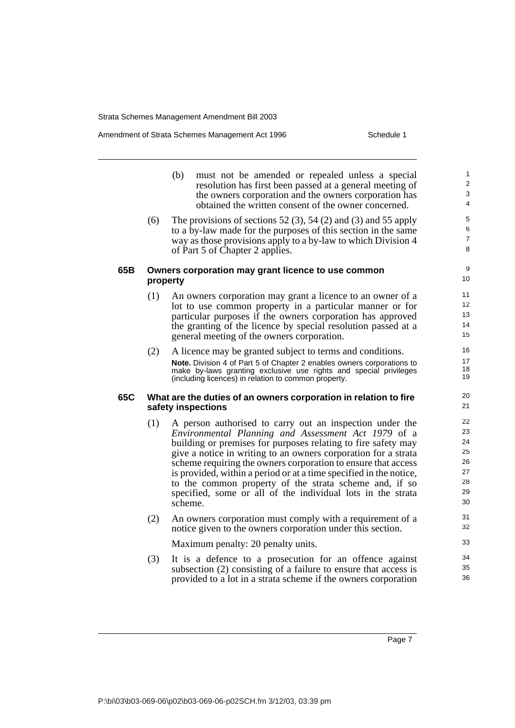|     |          | (b)<br>must not be amended or repealed unless a special<br>resolution has first been passed at a general meeting of<br>the owners corporation and the owners corporation has<br>obtained the written consent of the owner concerned.                                                                                                                                                                                                                                                                                          | 1<br>2<br>3<br>4                                   |
|-----|----------|-------------------------------------------------------------------------------------------------------------------------------------------------------------------------------------------------------------------------------------------------------------------------------------------------------------------------------------------------------------------------------------------------------------------------------------------------------------------------------------------------------------------------------|----------------------------------------------------|
|     | (6)      | The provisions of sections $52(3)$ , $54(2)$ and $(3)$ and $55$ apply<br>to a by-law made for the purposes of this section in the same<br>way as those provisions apply to a by-law to which Division 4<br>of Part 5 of Chapter 2 applies.                                                                                                                                                                                                                                                                                    | 5<br>6<br>$\overline{7}$<br>8                      |
| 65B | property | Owners corporation may grant licence to use common                                                                                                                                                                                                                                                                                                                                                                                                                                                                            | 9<br>10                                            |
|     | (1)      | An owners corporation may grant a licence to an owner of a<br>lot to use common property in a particular manner or for<br>particular purposes if the owners corporation has approved<br>the granting of the licence by special resolution passed at a<br>general meeting of the owners corporation.                                                                                                                                                                                                                           | 11<br>12<br>13<br>14<br>15                         |
|     | (2)      | A licence may be granted subject to terms and conditions.<br>Note. Division 4 of Part 5 of Chapter 2 enables owners corporations to<br>make by-laws granting exclusive use rights and special privileges<br>(including licences) in relation to common property.                                                                                                                                                                                                                                                              | 16<br>17<br>18<br>19                               |
| 65C |          | What are the duties of an owners corporation in relation to fire<br>safety inspections                                                                                                                                                                                                                                                                                                                                                                                                                                        | 20<br>21                                           |
|     | (1)      | A person authorised to carry out an inspection under the<br>Environmental Planning and Assessment Act 1979 of a<br>building or premises for purposes relating to fire safety may<br>give a notice in writing to an owners corporation for a strata<br>scheme requiring the owners corporation to ensure that access<br>is provided, within a period or at a time specified in the notice,<br>to the common property of the strata scheme and, if so<br>specified, some or all of the individual lots in the strata<br>scheme. | 22<br>23<br>24<br>25<br>26<br>27<br>28<br>29<br>30 |
|     | (2)      | An owners corporation must comply with a requirement of a<br>notice given to the owners corporation under this section.                                                                                                                                                                                                                                                                                                                                                                                                       | 31<br>32                                           |
|     |          | Maximum penalty: 20 penalty units.                                                                                                                                                                                                                                                                                                                                                                                                                                                                                            | 33                                                 |
|     | (3)      | It is a defence to a prosecution for an offence against<br>subsection $(2)$ consisting of a failure to ensure that access is<br>provided to a lot in a strata scheme if the owners corporation                                                                                                                                                                                                                                                                                                                                | 34<br>35<br>36                                     |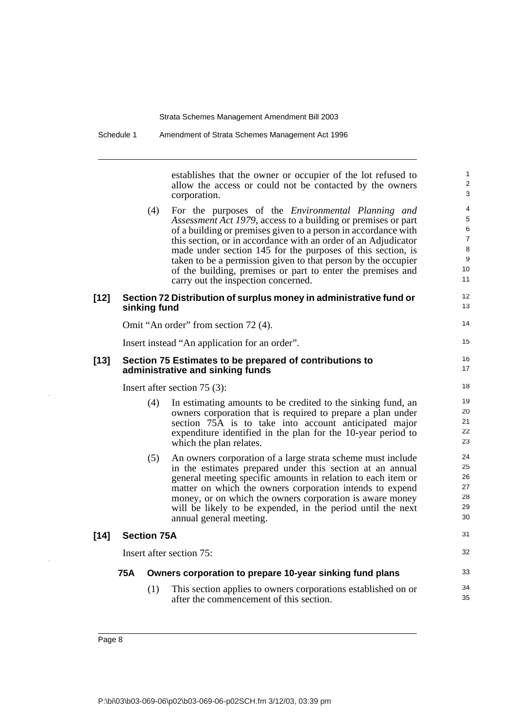establishes that the owner or occupier of the lot refused to allow the access or could not be contacted by the owners corporation.

15

16 17

32

33 34 35

(4) For the purposes of the *Environmental Planning and Assessment Act 1979*, access to a building or premises or part of a building or premises given to a person in accordance with this section, or in accordance with an order of an Adjudicator made under section 145 for the purposes of this section, is taken to be a permission given to that person by the occupier of the building, premises or part to enter the premises and carry out the inspection concerned.

#### **[12] Section 72 Distribution of surplus money in administrative fund or sinking fund**

Omit "An order" from section 72 (4).

Insert instead "An application for an order".

#### **[13] Section 75 Estimates to be prepared of contributions to administrative and sinking funds**

Insert after section 75 (3):

- (4) In estimating amounts to be credited to the sinking fund, an owners corporation that is required to prepare a plan under section 75A is to take into account anticipated major expenditure identified in the plan for the 10-year period to which the plan relates.
- (5) An owners corporation of a large strata scheme must include in the estimates prepared under this section at an annual general meeting specific amounts in relation to each item or matter on which the owners corporation intends to expend money, or on which the owners corporation is aware money will be likely to be expended, in the period until the next annual general meeting.

#### **[14] Section 75A**

Insert after section 75:

#### **75A Owners corporation to prepare 10-year sinking fund plans**

(1) This section applies to owners corporations established on or after the commencement of this section.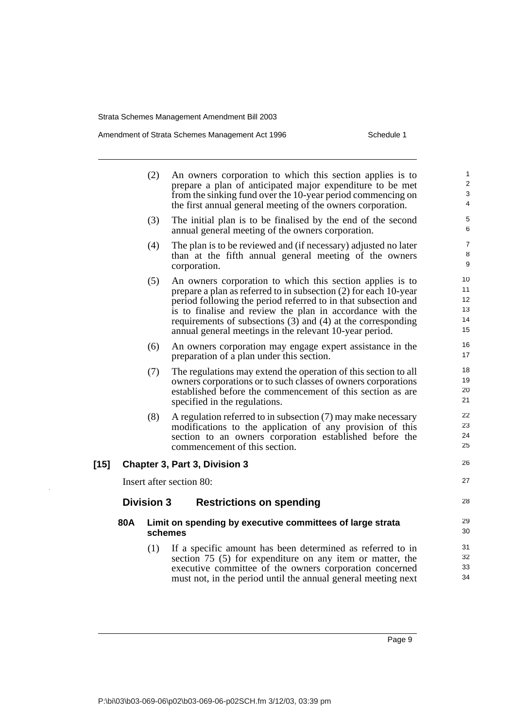Amendment of Strata Schemes Management Act 1996 Schedule 1

|        |     | (2)               | An owners corporation to which this section applies is to<br>prepare a plan of anticipated major expenditure to be met<br>from the sinking fund over the 10-year period commencing on<br>the first annual general meeting of the owners corporation.                                                                                                                                    | 1<br>$\overline{2}$<br>3<br>4    |
|--------|-----|-------------------|-----------------------------------------------------------------------------------------------------------------------------------------------------------------------------------------------------------------------------------------------------------------------------------------------------------------------------------------------------------------------------------------|----------------------------------|
|        |     | (3)               | The initial plan is to be finalised by the end of the second<br>annual general meeting of the owners corporation.                                                                                                                                                                                                                                                                       | 5<br>6                           |
|        |     | (4)               | The plan is to be reviewed and (if necessary) adjusted no later<br>than at the fifth annual general meeting of the owners<br>corporation.                                                                                                                                                                                                                                               | $\overline{7}$<br>8<br>9         |
|        |     | (5)               | An owners corporation to which this section applies is to<br>prepare a plan as referred to in subsection (2) for each 10-year<br>period following the period referred to in that subsection and<br>is to finalise and review the plan in accordance with the<br>requirements of subsections (3) and (4) at the corresponding<br>annual general meetings in the relevant 10-year period. | 10<br>11<br>12<br>13<br>14<br>15 |
|        |     | (6)               | An owners corporation may engage expert assistance in the<br>preparation of a plan under this section.                                                                                                                                                                                                                                                                                  | 16<br>17                         |
|        |     | (7)               | The regulations may extend the operation of this section to all<br>owners corporations or to such classes of owners corporations<br>established before the commencement of this section as are<br>specified in the regulations.                                                                                                                                                         | 18<br>19<br>20<br>21             |
|        |     | (8)               | A regulation referred to in subsection (7) may make necessary<br>modifications to the application of any provision of this<br>section to an owners corporation established before the<br>commencement of this section.                                                                                                                                                                  | 22<br>23<br>24<br>25             |
| $[15]$ |     |                   | Chapter 3, Part 3, Division 3                                                                                                                                                                                                                                                                                                                                                           | 26                               |
|        |     |                   | Insert after section 80:                                                                                                                                                                                                                                                                                                                                                                | 27                               |
|        |     | <b>Division 3</b> | <b>Restrictions on spending</b>                                                                                                                                                                                                                                                                                                                                                         | 28                               |
|        | 80A | schemes           | Limit on spending by executive committees of large strata                                                                                                                                                                                                                                                                                                                               | 29<br>30                         |
|        |     | (1)               | If a specific amount has been determined as referred to in<br>section 75 (5) for expenditure on any item or matter, the<br>executive committee of the owners corporation concerned<br>must not, in the period until the annual general meeting next                                                                                                                                     | 31<br>32<br>33<br>34             |

Page 9

 $\overline{\phantom{a}}$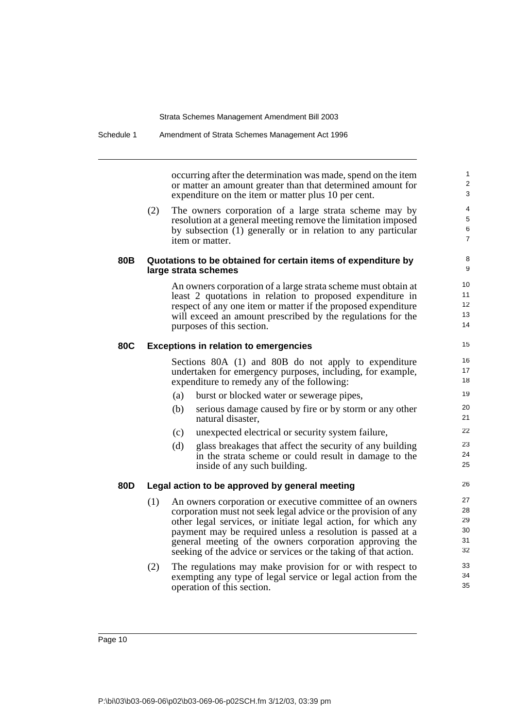occurring after the determination was made, spend on the item or matter an amount greater than that determined amount for expenditure on the item or matter plus 10 per cent.

(2) The owners corporation of a large strata scheme may by resolution at a general meeting remove the limitation imposed by subsection (1) generally or in relation to any particular item or matter.

#### **80B Quotations to be obtained for certain items of expenditure by large strata schemes**

An owners corporation of a large strata scheme must obtain at least 2 quotations in relation to proposed expenditure in respect of any one item or matter if the proposed expenditure will exceed an amount prescribed by the regulations for the

|            |     | will exceed an amount prescribed by the regulations for the<br>purposes of this section.                                                                                                                                                                                                                                                                                                 | 13<br>14                         |
|------------|-----|------------------------------------------------------------------------------------------------------------------------------------------------------------------------------------------------------------------------------------------------------------------------------------------------------------------------------------------------------------------------------------------|----------------------------------|
| <b>80C</b> |     | <b>Exceptions in relation to emergencies</b>                                                                                                                                                                                                                                                                                                                                             | 15                               |
|            |     | Sections 80A (1) and 80B do not apply to expenditure<br>undertaken for emergency purposes, including, for example,<br>expenditure to remedy any of the following:                                                                                                                                                                                                                        | 16<br>17<br>18                   |
|            |     | burst or blocked water or sewerage pipes,<br>(a)                                                                                                                                                                                                                                                                                                                                         | 19                               |
|            |     | serious damage caused by fire or by storm or any other<br>(b)<br>natural disaster,                                                                                                                                                                                                                                                                                                       | 20<br>21                         |
|            |     | unexpected electrical or security system failure,<br>(c)                                                                                                                                                                                                                                                                                                                                 | 22                               |
|            |     | glass breakages that affect the security of any building<br>(d)<br>in the strata scheme or could result in damage to the<br>inside of any such building.                                                                                                                                                                                                                                 | 23<br>24<br>25                   |
| 80D        |     | Legal action to be approved by general meeting                                                                                                                                                                                                                                                                                                                                           | 26                               |
|            | (1) | An owners corporation or executive committee of an owners<br>corporation must not seek legal advice or the provision of any<br>other legal services, or initiate legal action, for which any<br>payment may be required unless a resolution is passed at a<br>general meeting of the owners corporation approving the<br>seeking of the advice or services or the taking of that action. | 27<br>28<br>29<br>30<br>31<br>32 |
|            | (2) | The regulations may make provision for or with respect to<br>exempting any type of legal service or legal action from the<br>operation of this section.                                                                                                                                                                                                                                  | 33<br>34<br>35                   |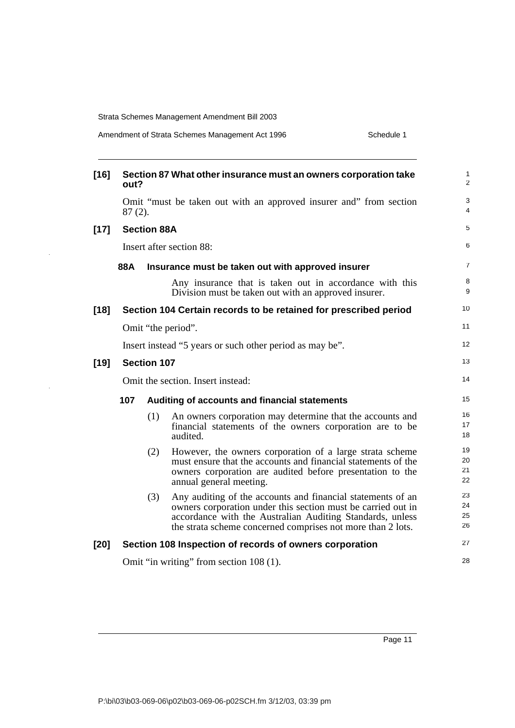$\bar{z}$ 

 $\bar{z}$ 

Amendment of Strata Schemes Management Act 1996

| Schedule 1 |  |  |
|------------|--|--|
|            |  |  |

| $[16]$ | out?                                                 |                    | Section 87 What other insurance must an owners corporation take                                                                                                                                                                                         | $\mathbf{1}$<br>2    |
|--------|------------------------------------------------------|--------------------|---------------------------------------------------------------------------------------------------------------------------------------------------------------------------------------------------------------------------------------------------------|----------------------|
|        | $87(2)$ .                                            |                    | Omit "must be taken out with an approved insurer and" from section                                                                                                                                                                                      | 3<br>4               |
| $[17]$ |                                                      | <b>Section 88A</b> |                                                                                                                                                                                                                                                         | $\,$ 5 $\,$          |
|        |                                                      |                    | Insert after section 88:                                                                                                                                                                                                                                | 6                    |
|        | 88A                                                  |                    | Insurance must be taken out with approved insurer                                                                                                                                                                                                       | $\overline{7}$       |
|        |                                                      |                    | Any insurance that is taken out in accordance with this<br>Division must be taken out with an approved insurer.                                                                                                                                         | 8<br>9               |
| $[18]$ |                                                      |                    | Section 104 Certain records to be retained for prescribed period                                                                                                                                                                                        | 10                   |
|        |                                                      |                    | Omit "the period".                                                                                                                                                                                                                                      | 11                   |
|        |                                                      |                    | Insert instead "5 years or such other period as may be".                                                                                                                                                                                                | $12 \overline{ }$    |
| $[19]$ | <b>Section 107</b>                                   |                    |                                                                                                                                                                                                                                                         |                      |
|        | Omit the section. Insert instead:                    |                    |                                                                                                                                                                                                                                                         | 14                   |
|        | 107<br>Auditing of accounts and financial statements |                    |                                                                                                                                                                                                                                                         |                      |
|        |                                                      | (1)                | An owners corporation may determine that the accounts and<br>financial statements of the owners corporation are to be<br>audited.                                                                                                                       | 16<br>17<br>18       |
|        |                                                      | (2)                | However, the owners corporation of a large strata scheme<br>must ensure that the accounts and financial statements of the<br>owners corporation are audited before presentation to the<br>annual general meeting.                                       | 19<br>20<br>21<br>22 |
|        |                                                      | (3)                | Any auditing of the accounts and financial statements of an<br>owners corporation under this section must be carried out in<br>accordance with the Australian Auditing Standards, unless<br>the strata scheme concerned comprises not more than 2 lots. | 23<br>24<br>25<br>26 |
| $[20]$ |                                                      |                    | Section 108 Inspection of records of owners corporation                                                                                                                                                                                                 | 27                   |
|        |                                                      |                    | Omit "in writing" from section 108 (1).                                                                                                                                                                                                                 | 28                   |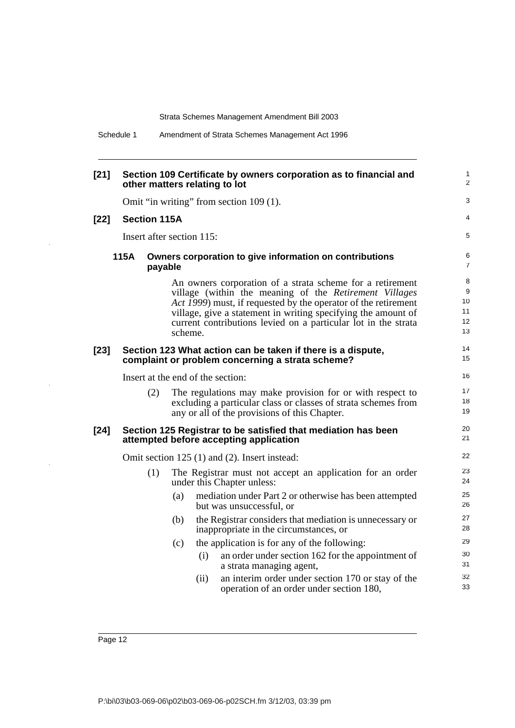| $[21]$ |                                                                                                                                                      |                           | Section 109 Certificate by owners corporation as to financial and<br>other matters relating to lot                                                                                                                                                                                                                       |                                |  |  |  |
|--------|------------------------------------------------------------------------------------------------------------------------------------------------------|---------------------------|--------------------------------------------------------------------------------------------------------------------------------------------------------------------------------------------------------------------------------------------------------------------------------------------------------------------------|--------------------------------|--|--|--|
|        |                                                                                                                                                      |                           | Omit "in writing" from section 109 (1).                                                                                                                                                                                                                                                                                  | 3                              |  |  |  |
| $[22]$ | <b>Section 115A</b>                                                                                                                                  |                           |                                                                                                                                                                                                                                                                                                                          | 4                              |  |  |  |
|        |                                                                                                                                                      | Insert after section 115: |                                                                                                                                                                                                                                                                                                                          | 5                              |  |  |  |
|        | 115A                                                                                                                                                 | payable                   | Owners corporation to give information on contributions                                                                                                                                                                                                                                                                  | 6<br>$\overline{7}$            |  |  |  |
|        |                                                                                                                                                      | scheme.                   | An owners corporation of a strata scheme for a retirement<br>village (within the meaning of the Retirement Villages<br>Act 1999) must, if requested by the operator of the retirement<br>village, give a statement in writing specifying the amount of<br>current contributions levied on a particular lot in the strata | 8<br>9<br>10<br>11<br>12<br>13 |  |  |  |
| $[23]$ | Section 123 What action can be taken if there is a dispute,<br>complaint or problem concerning a strata scheme?<br>Insert at the end of the section: |                           |                                                                                                                                                                                                                                                                                                                          | 14<br>15                       |  |  |  |
|        |                                                                                                                                                      |                           |                                                                                                                                                                                                                                                                                                                          | 16                             |  |  |  |
|        | (2)                                                                                                                                                  |                           | The regulations may make provision for or with respect to<br>excluding a particular class or classes of strata schemes from<br>any or all of the provisions of this Chapter.                                                                                                                                             | 17<br>18<br>19                 |  |  |  |
| $[24]$ |                                                                                                                                                      |                           | Section 125 Registrar to be satisfied that mediation has been<br>attempted before accepting application                                                                                                                                                                                                                  | 20<br>21                       |  |  |  |
|        |                                                                                                                                                      |                           | Omit section 125 (1) and (2). Insert instead:                                                                                                                                                                                                                                                                            | 22                             |  |  |  |
|        | (1)                                                                                                                                                  |                           | The Registrar must not accept an application for an order<br>under this Chapter unless:                                                                                                                                                                                                                                  | 23<br>24                       |  |  |  |
|        |                                                                                                                                                      | (a)                       | mediation under Part 2 or otherwise has been attempted<br>but was unsuccessful, or                                                                                                                                                                                                                                       | 25<br>26                       |  |  |  |
|        |                                                                                                                                                      | (b)                       | the Registrar considers that mediation is unnecessary or<br>inappropriate in the circumstances, or                                                                                                                                                                                                                       | 27<br>28                       |  |  |  |
|        |                                                                                                                                                      | (c)                       | the application is for any of the following:                                                                                                                                                                                                                                                                             | 29                             |  |  |  |
|        |                                                                                                                                                      |                           | (i)<br>an order under section 162 for the appointment of<br>a strata managing agent,                                                                                                                                                                                                                                     | 30<br>31                       |  |  |  |
|        |                                                                                                                                                      |                           | an interim order under section 170 or stay of the<br>(ii)<br>operation of an order under section 180,                                                                                                                                                                                                                    | 32<br>33                       |  |  |  |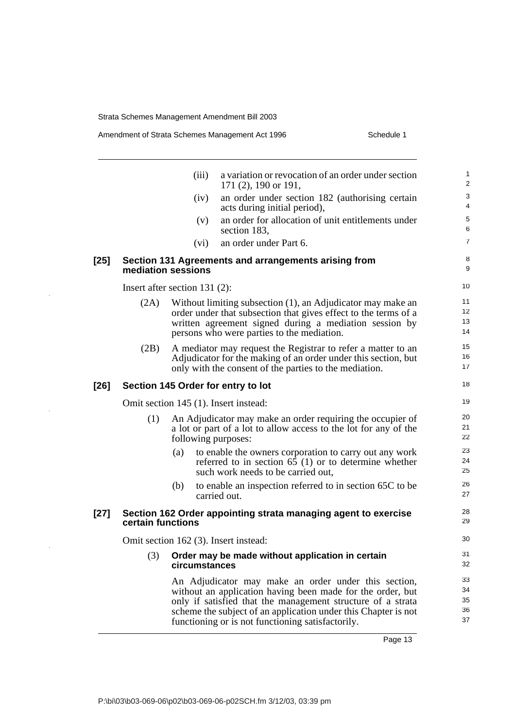|      |                   | (iii)                            | a variation or revocation of an order under section<br>171 $(2)$ , 190 or 191,                                                                                                                                                                                                                           | $\mathbf{1}$<br>2          |
|------|-------------------|----------------------------------|----------------------------------------------------------------------------------------------------------------------------------------------------------------------------------------------------------------------------------------------------------------------------------------------------------|----------------------------|
|      |                   | (iv)                             | an order under section 182 (authorising certain<br>acts during initial period),                                                                                                                                                                                                                          | 3<br>$\overline{4}$        |
|      |                   | (v)                              | an order for allocation of unit entitlements under<br>section 183,                                                                                                                                                                                                                                       | 5<br>6                     |
|      |                   | (vi)                             | an order under Part 6.                                                                                                                                                                                                                                                                                   | 7                          |
| [25] |                   | mediation sessions               | Section 131 Agreements and arrangements arising from                                                                                                                                                                                                                                                     | 8<br>9                     |
|      |                   | Insert after section 131 $(2)$ : |                                                                                                                                                                                                                                                                                                          | 10                         |
|      | (2A)              |                                  | Without limiting subsection (1), an Adjudicator may make an<br>order under that subsection that gives effect to the terms of a<br>written agreement signed during a mediation session by<br>persons who were parties to the mediation.                                                                   | 11<br>12<br>13<br>14       |
|      | (2B)              |                                  | A mediator may request the Registrar to refer a matter to an<br>Adjudicator for the making of an order under this section, but<br>only with the consent of the parties to the mediation.                                                                                                                 | 15<br>16<br>17             |
| [26] |                   |                                  | Section 145 Order for entry to lot                                                                                                                                                                                                                                                                       | 18                         |
|      |                   |                                  | Omit section 145 (1). Insert instead:                                                                                                                                                                                                                                                                    | 19                         |
|      | (1)               | following purposes:              | An Adjudicator may make an order requiring the occupier of<br>a lot or part of a lot to allow access to the lot for any of the                                                                                                                                                                           | 20<br>21<br>22             |
|      |                   | (a)                              | to enable the owners corporation to carry out any work<br>referred to in section $65$ (1) or to determine whether<br>such work needs to be carried out,                                                                                                                                                  | 23<br>24<br>25             |
|      |                   | (b)                              | to enable an inspection referred to in section 65C to be<br>carried out.                                                                                                                                                                                                                                 | 26<br>27                   |
| [27] | certain functions |                                  | Section 162 Order appointing strata managing agent to exercise                                                                                                                                                                                                                                           | 28<br>29                   |
|      |                   |                                  | Omit section 162 (3). Insert instead:                                                                                                                                                                                                                                                                    | 30                         |
|      | (3)               | circumstances                    | Order may be made without application in certain                                                                                                                                                                                                                                                         | 31<br>32                   |
|      |                   |                                  | An Adjudicator may make an order under this section,<br>without an application having been made for the order, but<br>only if satisfied that the management structure of a strata<br>scheme the subject of an application under this Chapter is not<br>functioning or is not functioning satisfactorily. | 33<br>34<br>35<br>36<br>37 |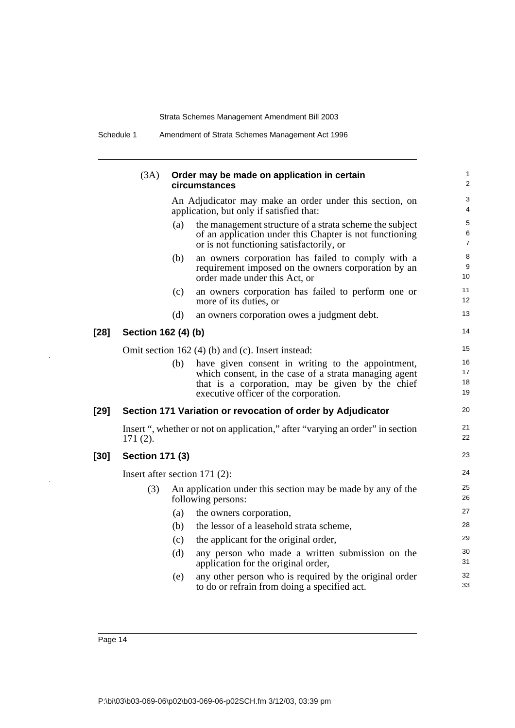|      | (3A)                                              |     | Order may be made on application in certain<br>circumstances                                                                                                                                            | $\mathbf{1}$<br>2        |  |
|------|---------------------------------------------------|-----|---------------------------------------------------------------------------------------------------------------------------------------------------------------------------------------------------------|--------------------------|--|
|      |                                                   |     | An Adjudicator may make an order under this section, on<br>application, but only if satisfied that:                                                                                                     | 3<br>$\overline{4}$      |  |
|      |                                                   | (a) | the management structure of a strata scheme the subject<br>of an application under this Chapter is not functioning<br>or is not functioning satisfactorily, or                                          | 5<br>6<br>$\overline{7}$ |  |
|      |                                                   | (b) | an owners corporation has failed to comply with a<br>requirement imposed on the owners corporation by an<br>order made under this Act, or                                                               | 8<br>9<br>10             |  |
|      |                                                   | (c) | an owners corporation has failed to perform one or<br>more of its duties, or                                                                                                                            | 11<br>12                 |  |
|      |                                                   | (d) | an owners corporation owes a judgment debt.                                                                                                                                                             | 13                       |  |
| [28] | Section 162 (4) (b)                               |     |                                                                                                                                                                                                         | 14                       |  |
|      | Omit section 162 (4) (b) and (c). Insert instead: |     |                                                                                                                                                                                                         |                          |  |
|      |                                                   | (b) | have given consent in writing to the appointment,<br>which consent, in the case of a strata managing agent<br>that is a corporation, may be given by the chief<br>executive officer of the corporation. | 16<br>17<br>18<br>19     |  |
| [29] |                                                   |     | Section 171 Variation or revocation of order by Adjudicator                                                                                                                                             | 20                       |  |
|      | $171(2)$ .                                        |     | Insert ", whether or not on application," after "varying an order" in section                                                                                                                           | 21<br>22                 |  |
| [30] | <b>Section 171 (3)</b>                            |     |                                                                                                                                                                                                         | 23                       |  |
|      | Insert after section $171(2)$ :                   |     |                                                                                                                                                                                                         | 24                       |  |
|      | (3)                                               |     | An application under this section may be made by any of the<br>following persons:                                                                                                                       | 25<br>26                 |  |
|      |                                                   | (a) | the owners corporation,                                                                                                                                                                                 | 27                       |  |
|      |                                                   | (b) | the lessor of a leasehold strata scheme,                                                                                                                                                                | 28                       |  |
|      |                                                   | (c) | the applicant for the original order,                                                                                                                                                                   | 29                       |  |
|      |                                                   | (d) | any person who made a written submission on the<br>application for the original order,                                                                                                                  | 30<br>31                 |  |
|      |                                                   | (e) | any other person who is required by the original order<br>to do or refrain from doing a specified act.                                                                                                  | 32<br>33                 |  |

Schedule 1 Amendment of Strata Schemes Management Act 1996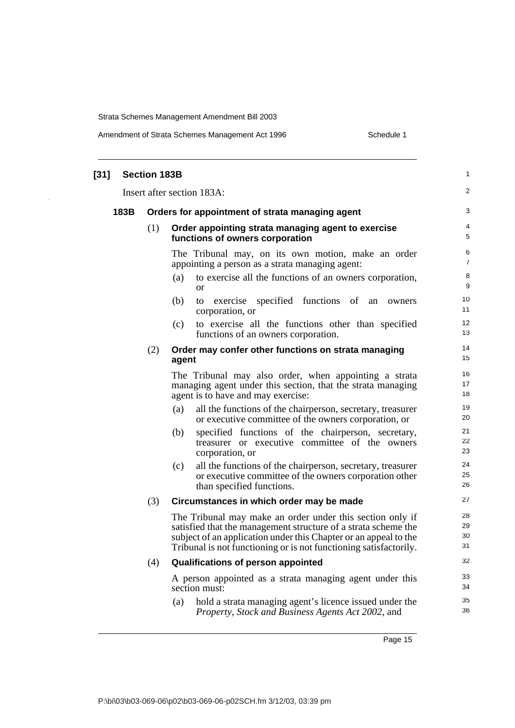| Amendment of Strata Schemes Management Act 1996 | Schedule 1 |
|-------------------------------------------------|------------|
|                                                 |            |

| 2<br>Insert after section 183A:<br>3<br>183B<br>Orders for appointment of strata managing agent<br>4<br>Order appointing strata managing agent to exercise<br>(1)<br>5<br>functions of owners corporation<br>6<br>The Tribunal may, on its own motion, make an order<br>$\overline{7}$<br>appointing a person as a strata managing agent:<br>8<br>(a)<br>to exercise all the functions of an owners corporation,<br>9<br><b>or</b><br>10<br>specified functions of<br>(b)<br>exercise<br>to<br>an<br>owners<br>11<br>corporation, or<br>12<br>to exercise all the functions other than specified<br>(c)<br>13<br>functions of an owners corporation.<br>14<br>(2)<br>Order may confer other functions on strata managing<br>15<br>agent<br>16<br>The Tribunal may also order, when appointing a strata<br>17<br>managing agent under this section, that the strata managing<br>18<br>agent is to have and may exercise:<br>19<br>(a)<br>all the functions of the chairperson, secretary, treasurer<br>20<br>or executive committee of the owners corporation, or<br>21<br>specified functions of the chairperson, secretary,<br>(b)<br>22<br>treasurer or executive committee of the owners<br>23<br>corporation, or<br>24<br>(c)<br>all the functions of the chairperson, secretary, treasurer<br>25<br>or executive committee of the owners corporation other<br>26<br>than specified functions.<br>27<br>(3)<br>Circumstances in which order may be made<br>28<br>The Tribunal may make an order under this section only if<br>29<br>satisfied that the management structure of a strata scheme the<br>30<br>subject of an application under this Chapter or an appeal to the<br>31<br>Tribunal is not functioning or is not functioning satisfactorily.<br>32<br>(4)<br>Qualifications of person appointed<br>33<br>A person appointed as a strata managing agent under this<br>34<br>section must:<br>35<br>hold a strata managing agent's licence issued under the<br>(a)<br>36<br>Property, Stock and Business Agents Act 2002, and | $[31]$ |  | <b>Section 183B</b> |  |  |  |
|--------------------------------------------------------------------------------------------------------------------------------------------------------------------------------------------------------------------------------------------------------------------------------------------------------------------------------------------------------------------------------------------------------------------------------------------------------------------------------------------------------------------------------------------------------------------------------------------------------------------------------------------------------------------------------------------------------------------------------------------------------------------------------------------------------------------------------------------------------------------------------------------------------------------------------------------------------------------------------------------------------------------------------------------------------------------------------------------------------------------------------------------------------------------------------------------------------------------------------------------------------------------------------------------------------------------------------------------------------------------------------------------------------------------------------------------------------------------------------------------------------------------------------------------------------------------------------------------------------------------------------------------------------------------------------------------------------------------------------------------------------------------------------------------------------------------------------------------------------------------------------------------------------------------------------------------------------------------------------------------------------------------------------------------|--------|--|---------------------|--|--|--|
|                                                                                                                                                                                                                                                                                                                                                                                                                                                                                                                                                                                                                                                                                                                                                                                                                                                                                                                                                                                                                                                                                                                                                                                                                                                                                                                                                                                                                                                                                                                                                                                                                                                                                                                                                                                                                                                                                                                                                                                                                                            |        |  |                     |  |  |  |
|                                                                                                                                                                                                                                                                                                                                                                                                                                                                                                                                                                                                                                                                                                                                                                                                                                                                                                                                                                                                                                                                                                                                                                                                                                                                                                                                                                                                                                                                                                                                                                                                                                                                                                                                                                                                                                                                                                                                                                                                                                            |        |  |                     |  |  |  |
|                                                                                                                                                                                                                                                                                                                                                                                                                                                                                                                                                                                                                                                                                                                                                                                                                                                                                                                                                                                                                                                                                                                                                                                                                                                                                                                                                                                                                                                                                                                                                                                                                                                                                                                                                                                                                                                                                                                                                                                                                                            |        |  |                     |  |  |  |
|                                                                                                                                                                                                                                                                                                                                                                                                                                                                                                                                                                                                                                                                                                                                                                                                                                                                                                                                                                                                                                                                                                                                                                                                                                                                                                                                                                                                                                                                                                                                                                                                                                                                                                                                                                                                                                                                                                                                                                                                                                            |        |  |                     |  |  |  |
|                                                                                                                                                                                                                                                                                                                                                                                                                                                                                                                                                                                                                                                                                                                                                                                                                                                                                                                                                                                                                                                                                                                                                                                                                                                                                                                                                                                                                                                                                                                                                                                                                                                                                                                                                                                                                                                                                                                                                                                                                                            |        |  |                     |  |  |  |
|                                                                                                                                                                                                                                                                                                                                                                                                                                                                                                                                                                                                                                                                                                                                                                                                                                                                                                                                                                                                                                                                                                                                                                                                                                                                                                                                                                                                                                                                                                                                                                                                                                                                                                                                                                                                                                                                                                                                                                                                                                            |        |  |                     |  |  |  |
|                                                                                                                                                                                                                                                                                                                                                                                                                                                                                                                                                                                                                                                                                                                                                                                                                                                                                                                                                                                                                                                                                                                                                                                                                                                                                                                                                                                                                                                                                                                                                                                                                                                                                                                                                                                                                                                                                                                                                                                                                                            |        |  |                     |  |  |  |
|                                                                                                                                                                                                                                                                                                                                                                                                                                                                                                                                                                                                                                                                                                                                                                                                                                                                                                                                                                                                                                                                                                                                                                                                                                                                                                                                                                                                                                                                                                                                                                                                                                                                                                                                                                                                                                                                                                                                                                                                                                            |        |  |                     |  |  |  |
|                                                                                                                                                                                                                                                                                                                                                                                                                                                                                                                                                                                                                                                                                                                                                                                                                                                                                                                                                                                                                                                                                                                                                                                                                                                                                                                                                                                                                                                                                                                                                                                                                                                                                                                                                                                                                                                                                                                                                                                                                                            |        |  |                     |  |  |  |
|                                                                                                                                                                                                                                                                                                                                                                                                                                                                                                                                                                                                                                                                                                                                                                                                                                                                                                                                                                                                                                                                                                                                                                                                                                                                                                                                                                                                                                                                                                                                                                                                                                                                                                                                                                                                                                                                                                                                                                                                                                            |        |  |                     |  |  |  |
|                                                                                                                                                                                                                                                                                                                                                                                                                                                                                                                                                                                                                                                                                                                                                                                                                                                                                                                                                                                                                                                                                                                                                                                                                                                                                                                                                                                                                                                                                                                                                                                                                                                                                                                                                                                                                                                                                                                                                                                                                                            |        |  |                     |  |  |  |
|                                                                                                                                                                                                                                                                                                                                                                                                                                                                                                                                                                                                                                                                                                                                                                                                                                                                                                                                                                                                                                                                                                                                                                                                                                                                                                                                                                                                                                                                                                                                                                                                                                                                                                                                                                                                                                                                                                                                                                                                                                            |        |  |                     |  |  |  |
|                                                                                                                                                                                                                                                                                                                                                                                                                                                                                                                                                                                                                                                                                                                                                                                                                                                                                                                                                                                                                                                                                                                                                                                                                                                                                                                                                                                                                                                                                                                                                                                                                                                                                                                                                                                                                                                                                                                                                                                                                                            |        |  |                     |  |  |  |
|                                                                                                                                                                                                                                                                                                                                                                                                                                                                                                                                                                                                                                                                                                                                                                                                                                                                                                                                                                                                                                                                                                                                                                                                                                                                                                                                                                                                                                                                                                                                                                                                                                                                                                                                                                                                                                                                                                                                                                                                                                            |        |  |                     |  |  |  |
|                                                                                                                                                                                                                                                                                                                                                                                                                                                                                                                                                                                                                                                                                                                                                                                                                                                                                                                                                                                                                                                                                                                                                                                                                                                                                                                                                                                                                                                                                                                                                                                                                                                                                                                                                                                                                                                                                                                                                                                                                                            |        |  |                     |  |  |  |
|                                                                                                                                                                                                                                                                                                                                                                                                                                                                                                                                                                                                                                                                                                                                                                                                                                                                                                                                                                                                                                                                                                                                                                                                                                                                                                                                                                                                                                                                                                                                                                                                                                                                                                                                                                                                                                                                                                                                                                                                                                            |        |  |                     |  |  |  |
|                                                                                                                                                                                                                                                                                                                                                                                                                                                                                                                                                                                                                                                                                                                                                                                                                                                                                                                                                                                                                                                                                                                                                                                                                                                                                                                                                                                                                                                                                                                                                                                                                                                                                                                                                                                                                                                                                                                                                                                                                                            |        |  |                     |  |  |  |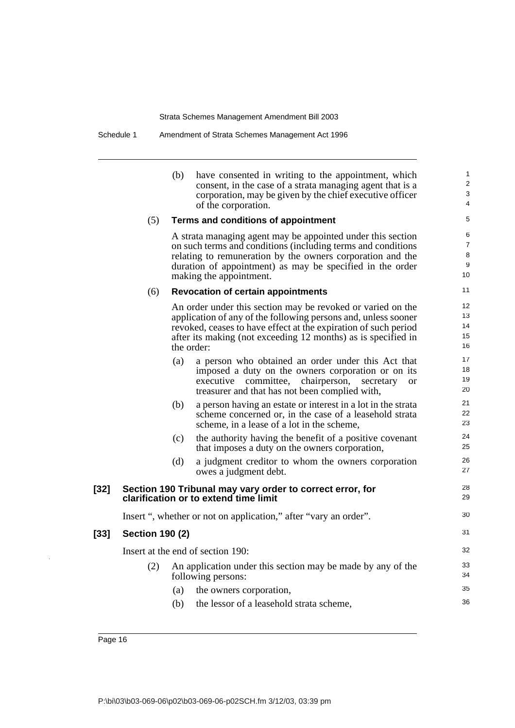Schedule 1 Amendment of Strata Schemes Management Act 1996

|        |                        | (b) | have consented in writing to the appointment, which<br>consent, in the case of a strata managing agent that is a<br>corporation, may be given by the chief executive officer<br>of the corporation.                                                                                | 1<br>$\overline{2}$<br>3<br>4       |
|--------|------------------------|-----|------------------------------------------------------------------------------------------------------------------------------------------------------------------------------------------------------------------------------------------------------------------------------------|-------------------------------------|
|        | (5)                    |     | Terms and conditions of appointment                                                                                                                                                                                                                                                | 5                                   |
|        |                        |     | A strata managing agent may be appointed under this section<br>on such terms and conditions (including terms and conditions)<br>relating to remuneration by the owners corporation and the<br>duration of appointment) as may be specified in the order<br>making the appointment. | 6<br>$\overline{7}$<br>8<br>9<br>10 |
|        | (6)                    |     | <b>Revocation of certain appointments</b>                                                                                                                                                                                                                                          | 11                                  |
|        |                        |     | An order under this section may be revoked or varied on the<br>application of any of the following persons and, unless sooner<br>revoked, ceases to have effect at the expiration of such period<br>after its making (not exceeding 12 months) as is specified in<br>the order:    | 12<br>13<br>14<br>15<br>16          |
|        |                        | (a) | a person who obtained an order under this Act that<br>imposed a duty on the owners corporation or on its<br>executive committee, chairperson,<br>secretary<br><b>or</b><br>treasurer and that has not been complied with,                                                          | 17<br>18<br>19<br>20                |
|        |                        | (b) | a person having an estate or interest in a lot in the strata<br>scheme concerned or, in the case of a leasehold strata<br>scheme, in a lease of a lot in the scheme,                                                                                                               | 21<br>22<br>23                      |
|        |                        | (c) | the authority having the benefit of a positive covenant<br>that imposes a duty on the owners corporation,                                                                                                                                                                          | 24<br>25                            |
|        |                        | (d) | a judgment creditor to whom the owners corporation<br>owes a judgment debt.                                                                                                                                                                                                        | 26<br>27                            |
| $[32]$ |                        |     | Section 190 Tribunal may vary order to correct error, for<br>clarification or to extend time limit                                                                                                                                                                                 | 28<br>29                            |
|        |                        |     | Insert ", whether or not on application," after "vary an order".                                                                                                                                                                                                                   | 30                                  |
| $[33]$ | <b>Section 190 (2)</b> |     |                                                                                                                                                                                                                                                                                    | 31                                  |
|        |                        |     | Insert at the end of section 190:                                                                                                                                                                                                                                                  | 32                                  |
|        | (2)                    |     | An application under this section may be made by any of the<br>following persons:                                                                                                                                                                                                  | 33<br>34                            |
|        |                        | (a) | the owners corporation,                                                                                                                                                                                                                                                            | 35                                  |
|        |                        | (b) | the lessor of a leasehold strata scheme,                                                                                                                                                                                                                                           | 36                                  |
|        |                        |     |                                                                                                                                                                                                                                                                                    |                                     |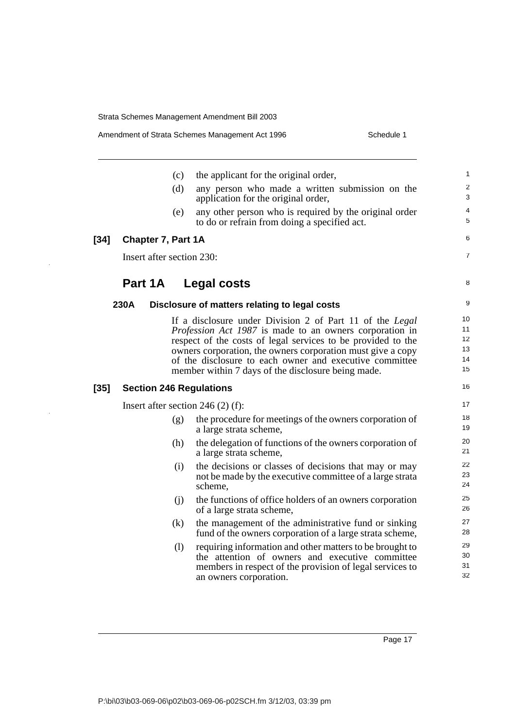$\frac{1}{2}$ 

 $\hat{\mathcal{F}}$ 

|        |                                | (c) | the applicant for the original order,                                                                                                                                                                                                                                                                                                                                      | 1                                |
|--------|--------------------------------|-----|----------------------------------------------------------------------------------------------------------------------------------------------------------------------------------------------------------------------------------------------------------------------------------------------------------------------------------------------------------------------------|----------------------------------|
|        |                                | (d) | any person who made a written submission on the<br>application for the original order,                                                                                                                                                                                                                                                                                     | 2<br>3                           |
|        |                                | (e) | any other person who is required by the original order<br>to do or refrain from doing a specified act.                                                                                                                                                                                                                                                                     | 4<br>5                           |
| $[34]$ | Chapter 7, Part 1A             |     |                                                                                                                                                                                                                                                                                                                                                                            | 6                                |
|        | Insert after section 230:      |     |                                                                                                                                                                                                                                                                                                                                                                            | $\overline{7}$                   |
|        | Part 1A                        |     | <b>Legal costs</b>                                                                                                                                                                                                                                                                                                                                                         | 8                                |
|        | 230A                           |     | Disclosure of matters relating to legal costs                                                                                                                                                                                                                                                                                                                              | 9                                |
|        |                                |     | If a disclosure under Division 2 of Part 11 of the Legal<br><i>Profession Act 1987</i> is made to an owners corporation in<br>respect of the costs of legal services to be provided to the<br>owners corporation, the owners corporation must give a copy<br>of the disclosure to each owner and executive committee<br>member within 7 days of the disclosure being made. | 10<br>11<br>12<br>13<br>14<br>15 |
| $[35]$ | <b>Section 246 Regulations</b> |     |                                                                                                                                                                                                                                                                                                                                                                            | 16                               |
|        |                                |     | Insert after section 246 $(2)$ (f):                                                                                                                                                                                                                                                                                                                                        | 17                               |
|        |                                | (g) | the procedure for meetings of the owners corporation of<br>a large strata scheme,                                                                                                                                                                                                                                                                                          | 18<br>19                         |
|        |                                | (h) | the delegation of functions of the owners corporation of<br>a large strata scheme,                                                                                                                                                                                                                                                                                         | 20<br>21                         |
|        |                                | (i) | the decisions or classes of decisions that may or may<br>not be made by the executive committee of a large strata<br>scheme,                                                                                                                                                                                                                                               | 22<br>23<br>24                   |
|        |                                | (i) | the functions of office holders of an owners corporation<br>of a large strata scheme,                                                                                                                                                                                                                                                                                      | 25<br>26                         |
|        |                                | (k) | the management of the administrative fund or sinking<br>fund of the owners corporation of a large strata scheme,                                                                                                                                                                                                                                                           | 27<br>28                         |
|        |                                | (1) | requiring information and other matters to be brought to<br>the attention of owners and executive committee<br>members in respect of the provision of legal services to                                                                                                                                                                                                    | 29<br>30<br>31                   |

Page 17

32

an owners corporation.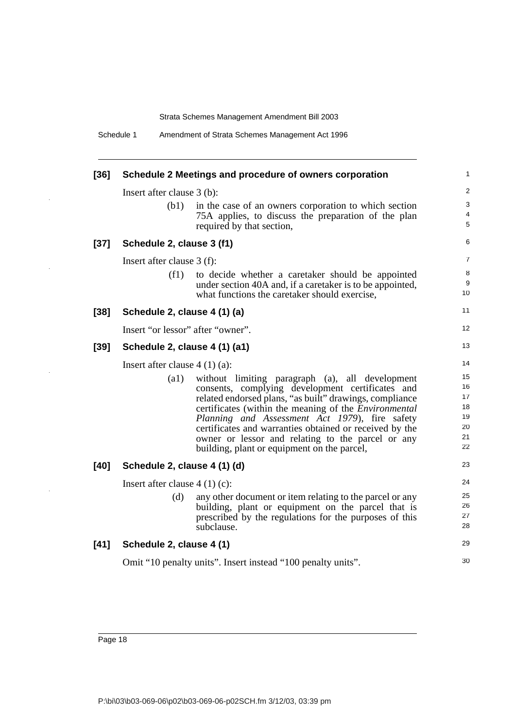Schedule 1 Amendment of Strata Schemes Management Act 1996

| $[36]$ | Schedule 2 Meetings and procedure of owners corporation                                                                                                                 |                |  |  |
|--------|-------------------------------------------------------------------------------------------------------------------------------------------------------------------------|----------------|--|--|
|        | Insert after clause 3 (b):                                                                                                                                              | $\overline{2}$ |  |  |
|        | (b1)<br>in the case of an owners corporation to which section<br>75A applies, to discuss the preparation of the plan<br>required by that section,                       | 3<br>4<br>5    |  |  |
| $[37]$ | Schedule 2, clause 3 (f1)                                                                                                                                               | 6              |  |  |
|        |                                                                                                                                                                         |                |  |  |
|        | Insert after clause 3 (f):                                                                                                                                              | $\overline{7}$ |  |  |
|        | (f1)<br>to decide whether a caretaker should be appointed<br>under section 40A and, if a caretaker is to be appointed,<br>what functions the caretaker should exercise, | 8<br>9<br>10   |  |  |
| $[38]$ | Schedule 2, clause 4 (1) (a)                                                                                                                                            | 11             |  |  |
|        | Insert "or lessor" after "owner".                                                                                                                                       | 12             |  |  |
| $[39]$ | Schedule 2, clause 4 (1) (a1)                                                                                                                                           | 13             |  |  |
|        | Insert after clause $4(1)(a)$ :                                                                                                                                         | 14             |  |  |
|        | (a1)<br>without limiting paragraph (a), all development                                                                                                                 | 15             |  |  |
|        | consents, complying development certificates and                                                                                                                        | 16             |  |  |
|        | related endorsed plans, "as built" drawings, compliance                                                                                                                 | 17<br>18       |  |  |
|        | certificates (within the meaning of the <i>Environmental</i>                                                                                                            | 19             |  |  |
|        | Planning and Assessment Act 1979), fire safety<br>certificates and warranties obtained or received by the                                                               | 20             |  |  |
|        | owner or lessor and relating to the parcel or any                                                                                                                       | 21             |  |  |
|        | building, plant or equipment on the parcel,                                                                                                                             | 22             |  |  |
| $[40]$ | Schedule 2, clause 4 (1) (d)                                                                                                                                            | 23             |  |  |
|        | Insert after clause $4(1)(c)$ :                                                                                                                                         |                |  |  |
|        | (d)<br>any other document or item relating to the parcel or any                                                                                                         | 25             |  |  |
|        | building, plant or equipment on the parcel that is                                                                                                                      | 26             |  |  |
|        | prescribed by the regulations for the purposes of this<br>subclause.                                                                                                    | 27<br>28       |  |  |
| $[41]$ | Schedule 2, clause 4 (1)                                                                                                                                                | 29             |  |  |
|        | Omit "10 penalty units". Insert instead "100 penalty units".                                                                                                            | 30             |  |  |
|        |                                                                                                                                                                         |                |  |  |

 $\bar{z}$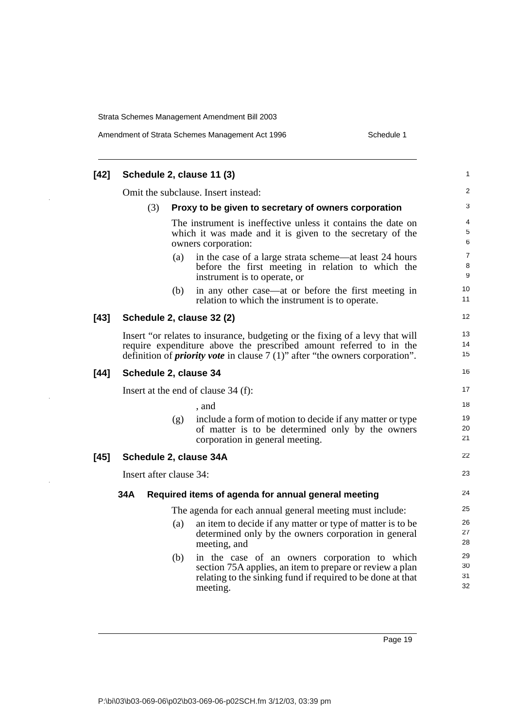$\ddot{\phantom{1}}$ 

 $\bar{z}$ 

| $[42]$ | Schedule 2, clause 11 (3)                                   |                                                                                                                                                                                                                                             |                          |  |  |  |
|--------|-------------------------------------------------------------|---------------------------------------------------------------------------------------------------------------------------------------------------------------------------------------------------------------------------------------------|--------------------------|--|--|--|
|        |                                                             | Omit the subclause. Insert instead:                                                                                                                                                                                                         | 2                        |  |  |  |
|        | (3)<br>Proxy to be given to secretary of owners corporation |                                                                                                                                                                                                                                             |                          |  |  |  |
|        |                                                             | The instrument is ineffective unless it contains the date on<br>which it was made and it is given to the secretary of the<br>owners corporation:                                                                                            | 4<br>5<br>6              |  |  |  |
|        | (a)                                                         | in the case of a large strata scheme—at least 24 hours<br>before the first meeting in relation to which the<br>instrument is to operate, or                                                                                                 | $\overline{7}$<br>8<br>9 |  |  |  |
|        | (b)                                                         | in any other case—at or before the first meeting in<br>relation to which the instrument is to operate.                                                                                                                                      | 10<br>11                 |  |  |  |
| $[43]$ | Schedule 2, clause 32 (2)                                   |                                                                                                                                                                                                                                             | 12                       |  |  |  |
|        |                                                             | Insert "or relates to insurance, budgeting or the fixing of a levy that will<br>require expenditure above the prescribed amount referred to in the<br>definition of <i>priority vote</i> in clause $7(1)$ " after "the owners corporation". | 13<br>14<br>15           |  |  |  |
| $[44]$ | Schedule 2, clause 34                                       |                                                                                                                                                                                                                                             | 16                       |  |  |  |
|        | Insert at the end of clause 34 (f):                         |                                                                                                                                                                                                                                             |                          |  |  |  |
|        |                                                             | , and                                                                                                                                                                                                                                       | 18                       |  |  |  |
|        | (g)                                                         | include a form of motion to decide if any matter or type<br>of matter is to be determined only by the owners<br>corporation in general meeting.                                                                                             | 19<br>20<br>21           |  |  |  |
| [45]   | Schedule 2, clause 34A                                      |                                                                                                                                                                                                                                             | 22                       |  |  |  |
|        | Insert after clause 34:                                     |                                                                                                                                                                                                                                             | 23                       |  |  |  |
|        | 34A                                                         | Required items of agenda for annual general meeting                                                                                                                                                                                         | 24                       |  |  |  |
|        |                                                             | The agenda for each annual general meeting must include:                                                                                                                                                                                    | 25                       |  |  |  |
|        | (a)                                                         | an item to decide if any matter or type of matter is to be<br>determined only by the owners corporation in general<br>meeting, and                                                                                                          | 26<br>27<br>28           |  |  |  |
|        | (b)                                                         | in the case of an owners corporation to which<br>section 75A applies, an item to prepare or review a plan<br>relating to the sinking fund if required to be done at that<br>meeting.                                                        | 29<br>30<br>31<br>32     |  |  |  |
|        |                                                             |                                                                                                                                                                                                                                             |                          |  |  |  |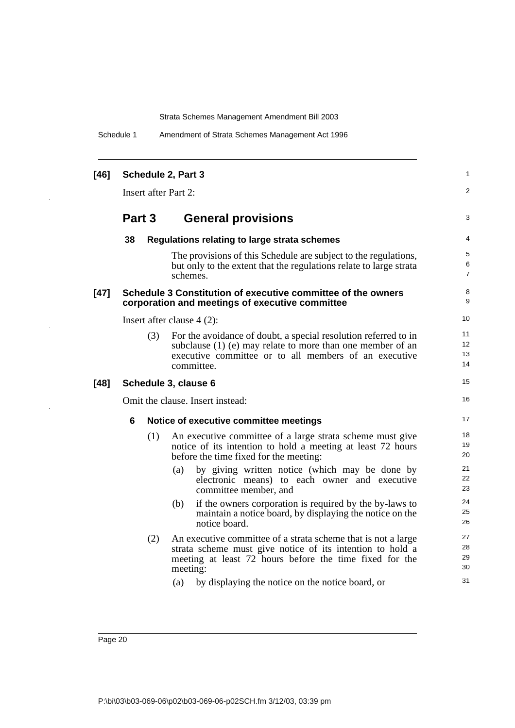Schedule 1 Amendment of Strata Schemes Management Act 1996

| $[46]$ | Schedule 2, Part 3 |                                                                                                                                                                                                                                                                     |                            |  |  |
|--------|--------------------|---------------------------------------------------------------------------------------------------------------------------------------------------------------------------------------------------------------------------------------------------------------------|----------------------------|--|--|
|        |                    | <b>Insert after Part 2:</b>                                                                                                                                                                                                                                         | 2                          |  |  |
|        | Part 3             | <b>General provisions</b>                                                                                                                                                                                                                                           | 3                          |  |  |
|        | 38                 | Regulations relating to large strata schemes                                                                                                                                                                                                                        | 4                          |  |  |
|        |                    | The provisions of this Schedule are subject to the regulations,<br>but only to the extent that the regulations relate to large strata<br>schemes.                                                                                                                   | 5<br>6<br>7                |  |  |
| $[47]$ |                    | Schedule 3 Constitution of executive committee of the owners<br>corporation and meetings of executive committee                                                                                                                                                     | 8<br>9                     |  |  |
|        |                    | Insert after clause $4(2)$ :                                                                                                                                                                                                                                        | 10                         |  |  |
|        |                    | For the avoidance of doubt, a special resolution referred to in<br>(3)<br>subclause $(1)$ (e) may relate to more than one member of an<br>executive committee or to all members of an executive<br>committee.                                                       | 11<br>12<br>13<br>14       |  |  |
| $[48]$ |                    | Schedule 3, clause 6                                                                                                                                                                                                                                                | 15                         |  |  |
|        |                    | Omit the clause. Insert instead:                                                                                                                                                                                                                                    |                            |  |  |
|        | 6                  | Notice of executive committee meetings                                                                                                                                                                                                                              | 17                         |  |  |
|        |                    | (1)<br>An executive committee of a large strata scheme must give<br>notice of its intention to hold a meeting at least 72 hours<br>before the time fixed for the meeting:                                                                                           | 18<br>19<br>20             |  |  |
|        |                    | by giving written notice (which may be done by<br>(a)<br>electronic means) to each owner and executive<br>committee member, and                                                                                                                                     | 21<br>22<br>23             |  |  |
|        |                    | if the owners corporation is required by the by-laws to<br>(b)<br>maintain a notice board, by displaying the notice on the<br>notice board.                                                                                                                         | 24<br>25<br>26             |  |  |
|        |                    | (2)<br>An executive committee of a strata scheme that is not a large<br>strata scheme must give notice of its intention to hold a<br>meeting at least 72 hours before the time fixed for the<br>meeting:<br>by displaying the notice on the notice board, or<br>(a) | 27<br>28<br>29<br>30<br>31 |  |  |
|        |                    |                                                                                                                                                                                                                                                                     |                            |  |  |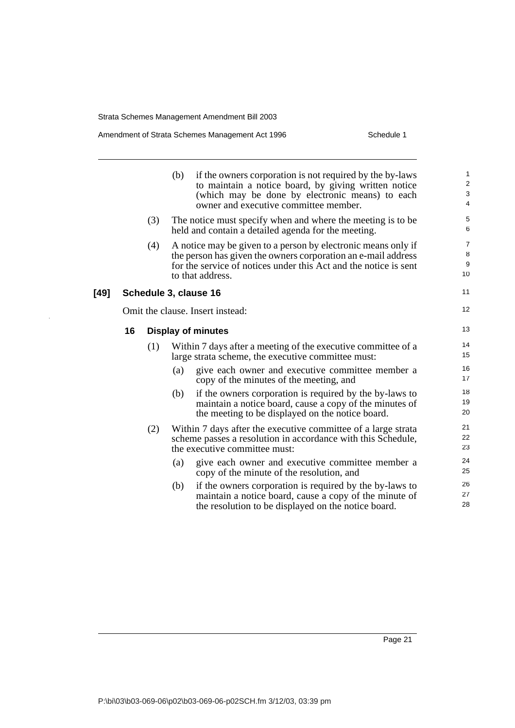$\bar{z}$ 

|      |                                  |     | (b)<br>if the owners corporation is not required by the by-laws<br>to maintain a notice board, by giving written notice<br>(which may be done by electronic means) to each<br>owner and executive committee member.    | 1<br>$\overline{\mathbf{c}}$<br>3<br>4 |
|------|----------------------------------|-----|------------------------------------------------------------------------------------------------------------------------------------------------------------------------------------------------------------------------|----------------------------------------|
|      |                                  | (3) | The notice must specify when and where the meeting is to be.<br>held and contain a detailed agenda for the meeting.                                                                                                    | 5<br>6                                 |
|      |                                  | (4) | A notice may be given to a person by electronic means only if<br>the person has given the owners corporation an e-mail address<br>for the service of notices under this Act and the notice is sent<br>to that address. | 7<br>8<br>9<br>10                      |
| [49] |                                  |     | Schedule 3, clause 16                                                                                                                                                                                                  | 11                                     |
|      | Omit the clause. Insert instead: |     | 12                                                                                                                                                                                                                     |                                        |
|      | 16                               |     | <b>Display of minutes</b>                                                                                                                                                                                              | 13                                     |
|      |                                  | (1) | Within 7 days after a meeting of the executive committee of a<br>large strata scheme, the executive committee must:                                                                                                    | 14<br>15                               |
|      |                                  |     | give each owner and executive committee member a<br>(a)<br>copy of the minutes of the meeting, and                                                                                                                     | 16<br>17                               |
|      |                                  |     | if the owners corporation is required by the by-laws to<br>(b)<br>maintain a notice board, cause a copy of the minutes of<br>the meeting to be displayed on the notice board.                                          | 18<br>19<br>20                         |
|      |                                  | (2) | Within 7 days after the executive committee of a large strata<br>scheme passes a resolution in accordance with this Schedule,<br>the executive committee must:                                                         | 21<br>22<br>23                         |
|      |                                  |     | (a)<br>give each owner and executive committee member a<br>copy of the minute of the resolution, and                                                                                                                   | 24<br>25                               |
|      |                                  |     | if the owners corporation is required by the by-laws to<br>(b)<br>maintain a notice board, cause a copy of the minute of<br>the resolution to be displayed on the notice board.                                        | 26<br>27<br>28                         |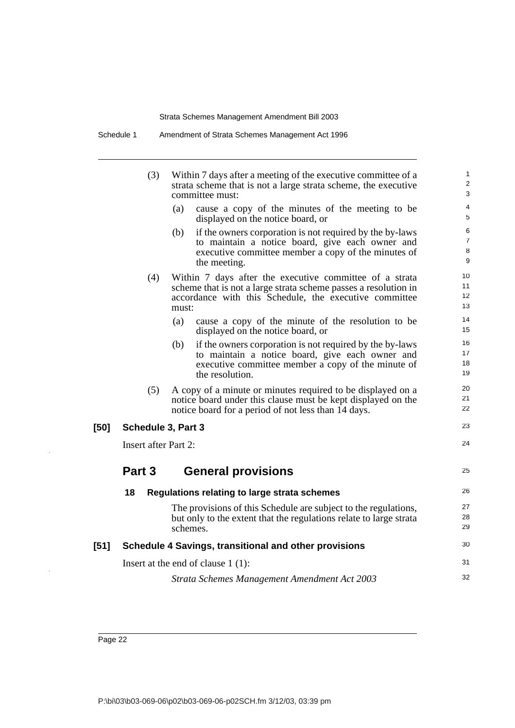|        | (3)                         | Within 7 days after a meeting of the executive committee of a<br>strata scheme that is not a large strata scheme, the executive<br>committee must:                                            |                                   |
|--------|-----------------------------|-----------------------------------------------------------------------------------------------------------------------------------------------------------------------------------------------|-----------------------------------|
|        |                             | (a)<br>cause a copy of the minutes of the meeting to be<br>displayed on the notice board, or                                                                                                  | 4<br>5                            |
|        |                             | if the owners corporation is not required by the by-laws<br>(b)<br>to maintain a notice board, give each owner and<br>executive committee member a copy of the minutes of<br>the meeting.     | 6<br>$\overline{7}$<br>8<br>9     |
|        | (4)                         | Within 7 days after the executive committee of a strata<br>scheme that is not a large strata scheme passes a resolution in<br>accordance with this Schedule, the executive committee<br>must: | 10<br>11<br>12 <sup>2</sup><br>13 |
|        |                             | (a)<br>cause a copy of the minute of the resolution to be<br>displayed on the notice board, or                                                                                                | 14<br>15                          |
|        |                             | if the owners corporation is not required by the by-laws<br>(b)<br>to maintain a notice board, give each owner and<br>executive committee member a copy of the minute of<br>the resolution.   | 16<br>17<br>18<br>19              |
|        | (5)                         | A copy of a minute or minutes required to be displayed on a<br>notice board under this clause must be kept displayed on the<br>notice board for a period of not less than 14 days.            | 20<br>21<br>22                    |
| $[50]$ | Schedule 3, Part 3          |                                                                                                                                                                                               | 23                                |
|        | <b>Insert after Part 2:</b> |                                                                                                                                                                                               | 24                                |
|        | Part 3                      | <b>General provisions</b>                                                                                                                                                                     | 25                                |
|        | 18                          | Regulations relating to large strata schemes                                                                                                                                                  | 26                                |
|        |                             | The provisions of this Schedule are subject to the regulations,<br>but only to the extent that the regulations relate to large strata<br>schemes.                                             | 27<br>28<br>29                    |
| $[51]$ |                             | Schedule 4 Savings, transitional and other provisions                                                                                                                                         | 30                                |
|        |                             | Insert at the end of clause $1(1)$ :                                                                                                                                                          | 31                                |
|        |                             | Strata Schemes Management Amendment Act 2003                                                                                                                                                  | 32                                |
|        |                             |                                                                                                                                                                                               |                                   |

P:\bi\03\b03-069-06\p02\b03-069-06-p02SCH.fm 3/12/03, 03:39 pm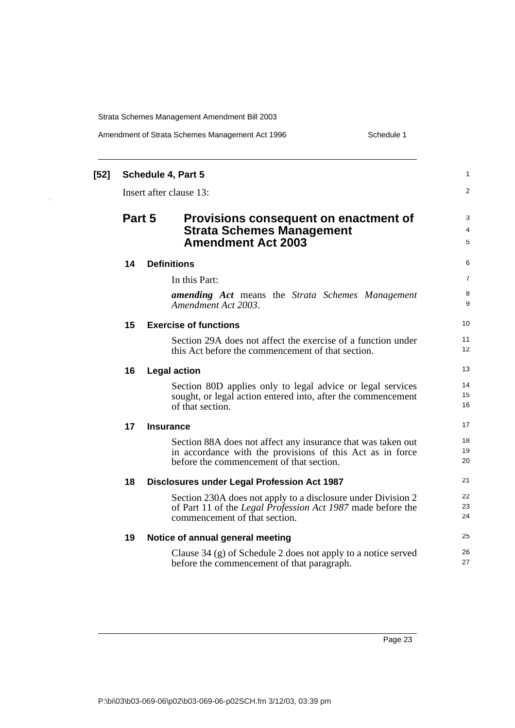| Amendment of Strata Schemes Management Act 1996 | Schedule 1 |
|-------------------------------------------------|------------|
|                                                 |            |

| [52] | <b>Schedule 4, Part 5</b> |                                                                                                                                                                       |                |  |  |
|------|---------------------------|-----------------------------------------------------------------------------------------------------------------------------------------------------------------------|----------------|--|--|
|      |                           | Insert after clause 13:                                                                                                                                               | 2              |  |  |
|      | Part 5                    | Provisions consequent on enactment of<br><b>Strata Schemes Management</b><br><b>Amendment Act 2003</b>                                                                | 3<br>4<br>5    |  |  |
|      | 14                        | <b>Definitions</b>                                                                                                                                                    | 6              |  |  |
|      |                           | In this Part:                                                                                                                                                         | $\overline{7}$ |  |  |
|      |                           | <b>amending Act</b> means the Strata Schemes Management<br>Amendment Act 2003.                                                                                        | 8<br>9         |  |  |
|      | 15                        | <b>Exercise of functions</b>                                                                                                                                          | 10             |  |  |
|      |                           | Section 29A does not affect the exercise of a function under<br>this Act before the commencement of that section.                                                     | 11<br>12       |  |  |
|      | 16                        | <b>Legal action</b>                                                                                                                                                   | 13             |  |  |
|      |                           | Section 80D applies only to legal advice or legal services<br>sought, or legal action entered into, after the commencement<br>of that section.                        | 14<br>15<br>16 |  |  |
|      | 17                        | <b>Insurance</b>                                                                                                                                                      | 17             |  |  |
|      |                           | Section 88A does not affect any insurance that was taken out<br>in accordance with the provisions of this Act as in force<br>before the commencement of that section. | 18<br>19<br>20 |  |  |
|      | 18                        | <b>Disclosures under Legal Profession Act 1987</b>                                                                                                                    | 21             |  |  |
|      |                           | Section 230A does not apply to a disclosure under Division 2<br>of Part 11 of the Legal Profession Act 1987 made before the<br>commencement of that section.          | 22<br>23<br>24 |  |  |
|      | 19                        | Notice of annual general meeting                                                                                                                                      | 25             |  |  |
|      |                           | Clause $34$ (g) of Schedule 2 does not apply to a notice served<br>before the commencement of that paragraph.                                                         | 26<br>27       |  |  |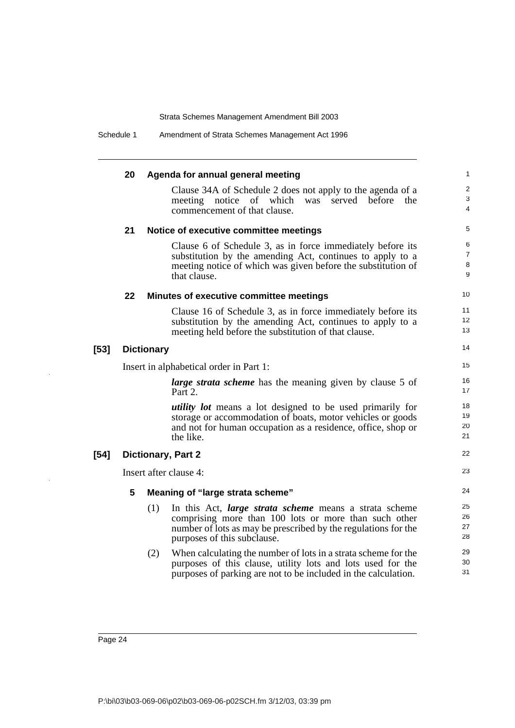|      | 20                                      |                   | Agenda for annual general meeting                                                                                                                                                                                       | $\mathbf{1}$                        |
|------|-----------------------------------------|-------------------|-------------------------------------------------------------------------------------------------------------------------------------------------------------------------------------------------------------------------|-------------------------------------|
|      |                                         |                   | Clause 34A of Schedule 2 does not apply to the agenda of a<br>meeting notice of which<br>before<br>served<br>the<br>was<br>commencement of that clause.                                                                 | $\overline{2}$<br>$\mathbf{3}$<br>4 |
|      | 21                                      |                   | Notice of executive committee meetings                                                                                                                                                                                  | 5                                   |
|      |                                         |                   | Clause 6 of Schedule 3, as in force immediately before its<br>substitution by the amending Act, continues to apply to a<br>meeting notice of which was given before the substitution of<br>that clause.                 | 6<br>$\overline{7}$<br>$\,8\,$<br>9 |
|      | 22                                      |                   | Minutes of executive committee meetings                                                                                                                                                                                 | 10                                  |
|      |                                         |                   | Clause 16 of Schedule 3, as in force immediately before its<br>substitution by the amending Act, continues to apply to a<br>meeting held before the substitution of that clause.                                        | 11<br>12<br>13                      |
| [53] |                                         | <b>Dictionary</b> |                                                                                                                                                                                                                         | 14                                  |
|      | Insert in alphabetical order in Part 1: |                   |                                                                                                                                                                                                                         |                                     |
|      |                                         |                   | <i>large strata scheme</i> has the meaning given by clause 5 of<br>Part 2.                                                                                                                                              | 16<br>17                            |
|      |                                         |                   | <i>utility lot</i> means a lot designed to be used primarily for<br>storage or accommodation of boats, motor vehicles or goods<br>and not for human occupation as a residence, office, shop or<br>the like.             | 18<br>19<br>20<br>21                |
| [54] |                                         |                   | <b>Dictionary, Part 2</b>                                                                                                                                                                                               | 22                                  |
|      |                                         |                   | Insert after clause 4:                                                                                                                                                                                                  | 23                                  |
|      | 5                                       |                   | Meaning of "large strata scheme"                                                                                                                                                                                        | 24                                  |
|      |                                         | (1)               | In this Act, <i>large strata scheme</i> means a strata scheme<br>comprising more than 100 lots or more than such other<br>number of lots as may be prescribed by the regulations for the<br>purposes of this subclause. | 25<br>26<br>27<br>28                |
|      |                                         | (2)               | When calculating the number of lots in a strata scheme for the<br>purposes of this clause, utility lots and lots used for the<br>purposes of parking are not to be included in the calculation.                         | 29<br>30<br>31                      |

 $\ddot{\phantom{a}}$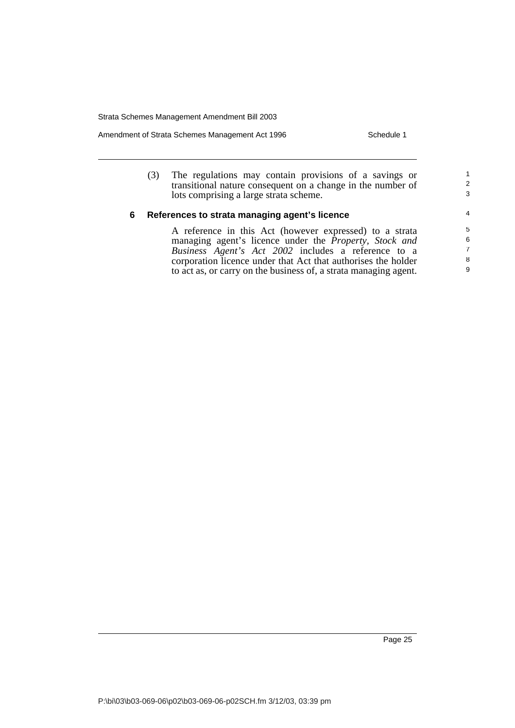Amendment of Strata Schemes Management Act 1996 Schedule 1

9

|   | The regulations may contain provisions of a savings or<br>(3)<br>transitional nature consequent on a change in the number of<br>lots comprising a large strata scheme.                                                                    | $\mathcal{P}$<br>3 |
|---|-------------------------------------------------------------------------------------------------------------------------------------------------------------------------------------------------------------------------------------------|--------------------|
| 6 | References to strata managing agent's licence                                                                                                                                                                                             | 4                  |
|   | A reference in this Act (however expressed) to a strata<br>managing agent's licence under the Property, Stock and<br>Business Agent's Act 2002 includes a reference to a<br>corporation licence under that Act that authorises the holder | 5<br>6<br>7<br>8   |

to act as, or carry on the business of, a strata managing agent.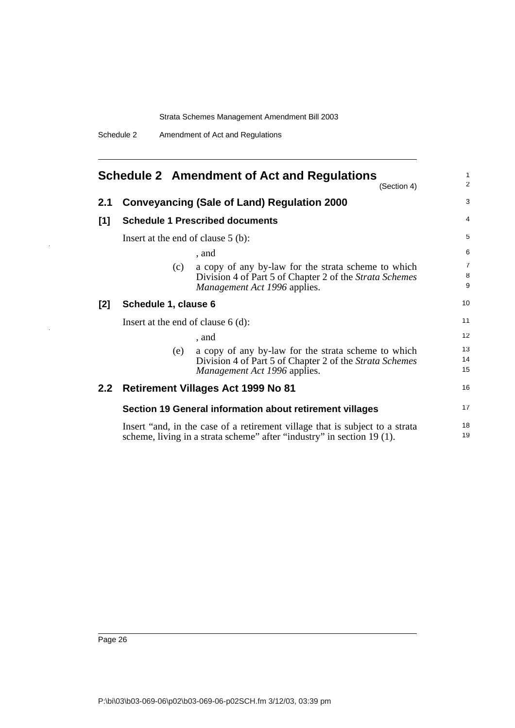|     |                                                                                                                                                       |                      | <b>Schedule 2 Amendment of Act and Regulations</b><br>(Section 4)                                                                              | 1<br>$\overline{c}$ |
|-----|-------------------------------------------------------------------------------------------------------------------------------------------------------|----------------------|------------------------------------------------------------------------------------------------------------------------------------------------|---------------------|
| 2.1 |                                                                                                                                                       |                      | <b>Conveyancing (Sale of Land) Regulation 2000</b>                                                                                             | 3                   |
| [1] |                                                                                                                                                       |                      | <b>Schedule 1 Prescribed documents</b>                                                                                                         | 4                   |
|     |                                                                                                                                                       |                      | Insert at the end of clause $5$ (b):                                                                                                           | 5                   |
|     |                                                                                                                                                       |                      | , and                                                                                                                                          | 6                   |
|     |                                                                                                                                                       | (c)                  | a copy of any by-law for the strata scheme to which<br>Division 4 of Part 5 of Chapter 2 of the Strata Schemes<br>Management Act 1996 applies. | 7<br>8<br>9         |
| [2] |                                                                                                                                                       | Schedule 1, clause 6 |                                                                                                                                                |                     |
|     | Insert at the end of clause $6(d)$ :                                                                                                                  |                      |                                                                                                                                                | 11                  |
|     |                                                                                                                                                       |                      | , and                                                                                                                                          | 12                  |
|     |                                                                                                                                                       | (e)                  | a copy of any by-law for the strata scheme to which<br>Division 4 of Part 5 of Chapter 2 of the Strata Schemes<br>Management Act 1996 applies. | 13<br>14<br>15      |
| 2.2 |                                                                                                                                                       |                      | <b>Retirement Villages Act 1999 No 81</b>                                                                                                      | 16                  |
|     |                                                                                                                                                       |                      | Section 19 General information about retirement villages                                                                                       | 17                  |
|     | Insert "and, in the case of a retirement village that is subject to a strata<br>scheme, living in a strata scheme" after "industry" in section 19(1). |                      |                                                                                                                                                | 18<br>19            |

i.

 $\bar{z}$